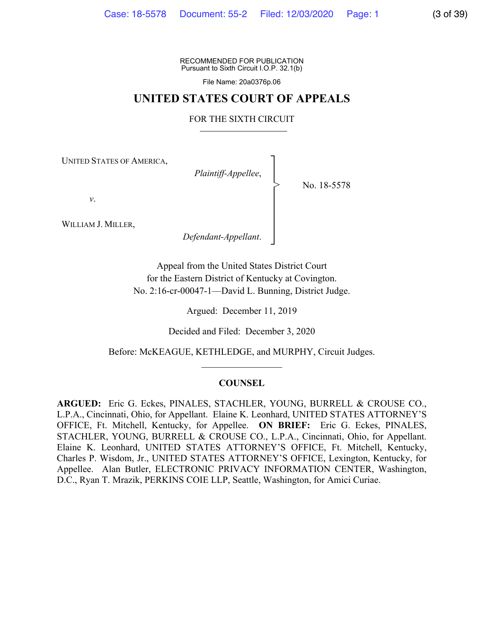RECOMMENDED FOR PUBLICATION Pursuant to Sixth Circuit I.O.P. 32.1(b)

File Name: 20a0376p.06

### **UNITED STATES COURT OF APPEALS**

#### FOR THE SIXTH CIRCUIT

┐ │ │ │ │ │ │ │ ┘

>

UNITED STATES OF AMERICA,

*Plaintiff-Appellee*,

No. 18-5578

*v*.

WILLIAM J. MILLER,

*Defendant-Appellant*.

Appeal from the United States District Court for the Eastern District of Kentucky at Covington. No. 2:16-cr-00047-1—David L. Bunning, District Judge.

Argued: December 11, 2019

Decided and Filed: December 3, 2020

Before: McKEAGUE, KETHLEDGE, and MURPHY, Circuit Judges.  $\mathcal{L}_\text{max}$ 

#### **COUNSEL**

**ARGUED:** Eric G. Eckes, PINALES, STACHLER, YOUNG, BURRELL & CROUSE CO., L.P.A., Cincinnati, Ohio, for Appellant. Elaine K. Leonhard, UNITED STATES ATTORNEY'S OFFICE, Ft. Mitchell, Kentucky, for Appellee. **ON BRIEF:** Eric G. Eckes, PINALES, STACHLER, YOUNG, BURRELL & CROUSE CO., L.P.A., Cincinnati, Ohio, for Appellant. Elaine K. Leonhard, UNITED STATES ATTORNEY'S OFFICE, Ft. Mitchell, Kentucky, Charles P. Wisdom, Jr., UNITED STATES ATTORNEY'S OFFICE, Lexington, Kentucky, for Appellee. Alan Butler, ELECTRONIC PRIVACY INFORMATION CENTER, Washington, D.C., Ryan T. Mrazik, PERKINS COIE LLP, Seattle, Washington, for Amici Curiae.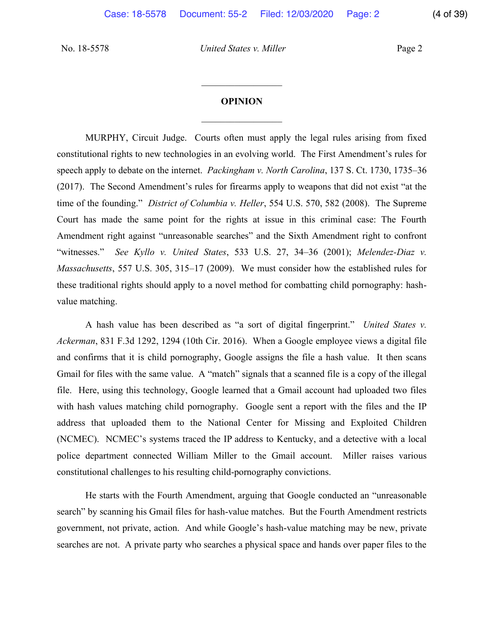## **OPINION**  $\frac{1}{2}$

 $\frac{1}{2}$ 

MURPHY, Circuit Judge. Courts often must apply the legal rules arising from fixed constitutional rights to new technologies in an evolving world. The First Amendment's rules for speech apply to debate on the internet. *Packingham v. North Carolina*, 137 S. Ct. 1730, 1735–36 (2017). The Second Amendment's rules for firearms apply to weapons that did not exist "at the time of the founding." *District of Columbia v. Heller*, 554 U.S. 570, 582 (2008). The Supreme Court has made the same point for the rights at issue in this criminal case: The Fourth Amendment right against "unreasonable searches" and the Sixth Amendment right to confront "witnesses." *See Kyllo v. United States*, 533 U.S. 27, 34–36 (2001); *Melendez-Diaz v. Massachusetts*, 557 U.S. 305, 315–17 (2009). We must consider how the established rules for these traditional rights should apply to a novel method for combatting child pornography: hashvalue matching.

A hash value has been described as "a sort of digital fingerprint." *United States v. Ackerman*, 831 F.3d 1292, 1294 (10th Cir. 2016). When a Google employee views a digital file and confirms that it is child pornography, Google assigns the file a hash value. It then scans Gmail for files with the same value. A "match" signals that a scanned file is a copy of the illegal file. Here, using this technology, Google learned that a Gmail account had uploaded two files with hash values matching child pornography. Google sent a report with the files and the IP address that uploaded them to the National Center for Missing and Exploited Children (NCMEC). NCMEC's systems traced the IP address to Kentucky, and a detective with a local police department connected William Miller to the Gmail account. Miller raises various constitutional challenges to his resulting child-pornography convictions.

He starts with the Fourth Amendment, arguing that Google conducted an "unreasonable search" by scanning his Gmail files for hash-value matches. But the Fourth Amendment restricts government, not private, action. And while Google's hash-value matching may be new, private searches are not. A private party who searches a physical space and hands over paper files to the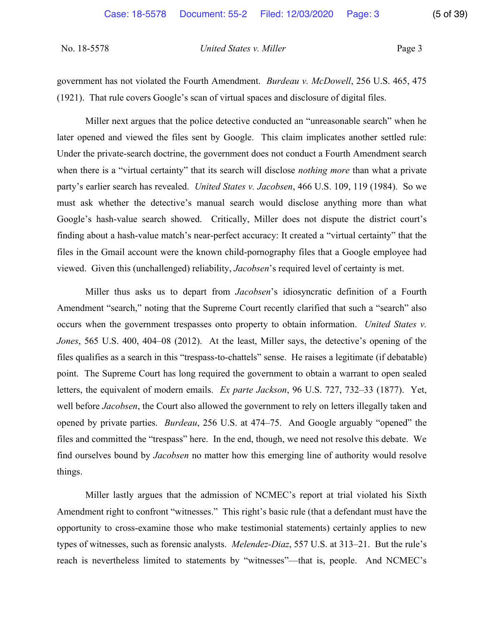| No. 18-5578 | United States v. Miller | Page 3 |
|-------------|-------------------------|--------|
|-------------|-------------------------|--------|

government has not violated the Fourth Amendment. *Burdeau v. McDowell*, 256 U.S. 465, 475 (1921). That rule covers Google's scan of virtual spaces and disclosure of digital files.

Miller next argues that the police detective conducted an "unreasonable search" when he later opened and viewed the files sent by Google. This claim implicates another settled rule: Under the private-search doctrine, the government does not conduct a Fourth Amendment search when there is a "virtual certainty" that its search will disclose *nothing more* than what a private party's earlier search has revealed. *United States v. Jacobsen*, 466 U.S. 109, 119 (1984). So we must ask whether the detective's manual search would disclose anything more than what Google's hash-value search showed. Critically, Miller does not dispute the district court's finding about a hash-value match's near-perfect accuracy: It created a "virtual certainty" that the files in the Gmail account were the known child-pornography files that a Google employee had viewed. Given this (unchallenged) reliability, *Jacobsen*'s required level of certainty is met.

Miller thus asks us to depart from *Jacobsen*'s idiosyncratic definition of a Fourth Amendment "search," noting that the Supreme Court recently clarified that such a "search" also occurs when the government trespasses onto property to obtain information. *United States v. Jones*, 565 U.S. 400, 404–08 (2012). At the least, Miller says, the detective's opening of the files qualifies as a search in this "trespass-to-chattels" sense. He raises a legitimate (if debatable) point. The Supreme Court has long required the government to obtain a warrant to open sealed letters, the equivalent of modern emails. *Ex parte Jackson*, 96 U.S. 727, 732–33 (1877). Yet, well before *Jacobsen*, the Court also allowed the government to rely on letters illegally taken and opened by private parties. *Burdeau*, 256 U.S. at 474–75. And Google arguably "opened" the files and committed the "trespass" here. In the end, though, we need not resolve this debate. We find ourselves bound by *Jacobsen* no matter how this emerging line of authority would resolve things.

Miller lastly argues that the admission of NCMEC's report at trial violated his Sixth Amendment right to confront "witnesses." This right's basic rule (that a defendant must have the opportunity to cross-examine those who make testimonial statements) certainly applies to new types of witnesses, such as forensic analysts. *Melendez-Diaz*, 557 U.S. at 313–21. But the rule's reach is nevertheless limited to statements by "witnesses"—that is, people. And NCMEC's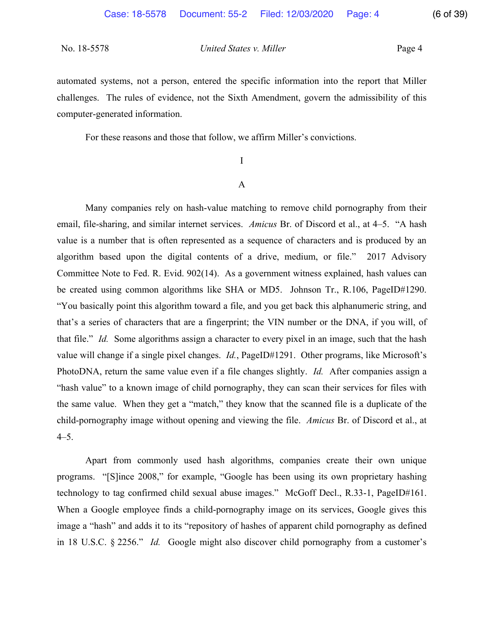automated systems, not a person, entered the specific information into the report that Miller challenges. The rules of evidence, not the Sixth Amendment, govern the admissibility of this computer-generated information.

For these reasons and those that follow, we affirm Miller's convictions.

# I A

Many companies rely on hash-value matching to remove child pornography from their email, file-sharing, and similar internet services. *Amicus* Br. of Discord et al., at 4–5. "A hash value is a number that is often represented as a sequence of characters and is produced by an algorithm based upon the digital contents of a drive, medium, or file." 2017 Advisory Committee Note to Fed. R. Evid. 902(14). As a government witness explained, hash values can be created using common algorithms like SHA or MD5. Johnson Tr., R.106, PageID#1290. "You basically point this algorithm toward a file, and you get back this alphanumeric string, and that's a series of characters that are a fingerprint; the VIN number or the DNA, if you will, of that file." *Id.* Some algorithms assign a character to every pixel in an image, such that the hash value will change if a single pixel changes. *Id.*, PageID#1291. Other programs, like Microsoft's PhotoDNA, return the same value even if a file changes slightly. *Id.* After companies assign a "hash value" to a known image of child pornography, they can scan their services for files with the same value. When they get a "match," they know that the scanned file is a duplicate of the child-pornography image without opening and viewing the file. *Amicus* Br. of Discord et al., at 4–5.

Apart from commonly used hash algorithms, companies create their own unique programs. "[S]ince 2008," for example, "Google has been using its own proprietary hashing technology to tag confirmed child sexual abuse images." McGoff Decl., R.33-1, PageID#161. When a Google employee finds a child-pornography image on its services, Google gives this image a "hash" and adds it to its "repository of hashes of apparent child pornography as defined in 18 U.S.C. § 2256." *Id.* Google might also discover child pornography from a customer's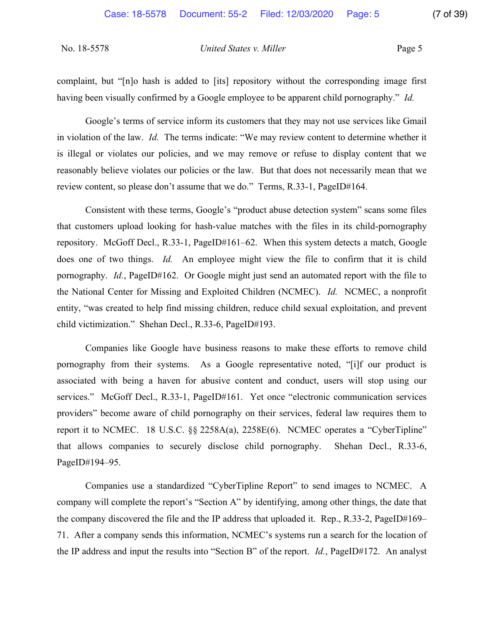complaint, but "[n]o hash is added to [its] repository without the corresponding image first having been visually confirmed by a Google employee to be apparent child pornography." *Id.*

Google's terms of service inform its customers that they may not use services like Gmail in violation of the law. *Id.* The terms indicate: "We may review content to determine whether it is illegal or violates our policies, and we may remove or refuse to display content that we reasonably believe violates our policies or the law. But that does not necessarily mean that we review content, so please don't assume that we do." Terms, R.33-1, PageID#164.

Consistent with these terms, Google's "product abuse detection system" scans some files that customers upload looking for hash-value matches with the files in its child-pornography repository. McGoff Decl., R.33-1, PageID#161–62. When this system detects a match, Google does one of two things. *Id.* An employee might view the file to confirm that it is child pornography. *Id.*, PageID#162. Or Google might just send an automated report with the file to the National Center for Missing and Exploited Children (NCMEC). *Id.* NCMEC, a nonprofit entity, "was created to help find missing children, reduce child sexual exploitation, and prevent child victimization." Shehan Decl., R.33-6, PageID#193.

Companies like Google have business reasons to make these efforts to remove child pornography from their systems. As a Google representative noted, "[i]f our product is associated with being a haven for abusive content and conduct, users will stop using our services." McGoff Decl., R.33-1, PageID#161. Yet once "electronic communication services providers" become aware of child pornography on their services, federal law requires them to report it to NCMEC. 18 U.S.C. §§ 2258A(a), 2258E(6). NCMEC operates a "CyberTipline" that allows companies to securely disclose child pornography. Shehan Decl., R.33-6, PageID#194–95.

Companies use a standardized "CyberTipline Report" to send images to NCMEC. A company will complete the report's "Section A" by identifying, among other things, the date that the company discovered the file and the IP address that uploaded it. Rep., R.33-2, PageID#169– 71. After a company sends this information, NCMEC's systems run a search for the location of the IP address and input the results into "Section B" of the report. *Id.*, PageID#172.An analyst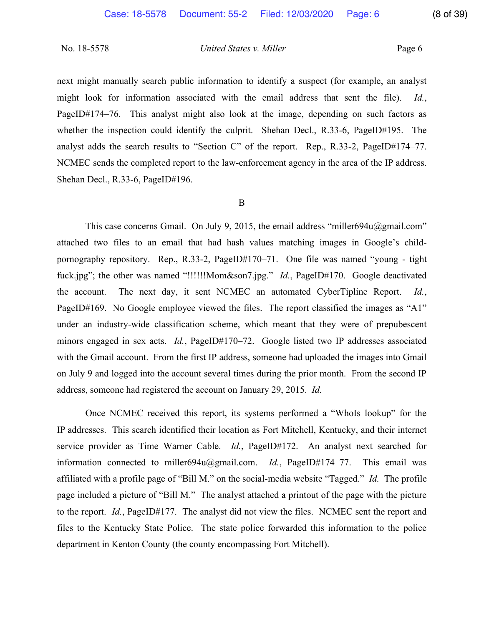next might manually search public information to identify a suspect (for example, an analyst might look for information associated with the email address that sent the file). *Id.*, PageID#174–76. This analyst might also look at the image, depending on such factors as whether the inspection could identify the culprit. Shehan Decl., R.33-6, PageID#195. The analyst adds the search results to "Section C" of the report. Rep., R.33-2, PageID#174–77. NCMEC sends the completed report to the law-enforcement agency in the area of the IP address. Shehan Decl., R.33-6, PageID#196.

#### B

This case concerns Gmail. On July 9, 2015, the email address "miller694u@gmail.com" attached two files to an email that had hash values matching images in Google's childpornography repository. Rep., R.33-2, PageID#170–71. One file was named "young - tight fuck.jpg"; the other was named "!!!!!!Mom&son7.jpg." *Id.*, PageID#170. Google deactivated the account. The next day, it sent NCMEC an automated CyberTipline Report. *Id.*, PageID#169. No Google employee viewed the files. The report classified the images as "A1" under an industry-wide classification scheme, which meant that they were of prepubescent minors engaged in sex acts. *Id.*, PageID#170–72. Google listed two IP addresses associated with the Gmail account. From the first IP address, someone had uploaded the images into Gmail on July 9 and logged into the account several times during the prior month. From the second IP address, someone had registered the account on January 29, 2015. *Id.*

Once NCMEC received this report, its systems performed a "WhoIs lookup" for the IP addresses. This search identified their location as Fort Mitchell, Kentucky, and their internet service provider as Time Warner Cable. *Id.*, PageID#172. An analyst next searched for information connected to miller694u@gmail.com. *Id.*, PageID#174–77. This email was affiliated with a profile page of "Bill M." on the social-media website "Tagged." *Id.* The profile page included a picture of "Bill M." The analyst attached a printout of the page with the picture to the report. *Id.*, PageID#177. The analyst did not view the files. NCMEC sent the report and files to the Kentucky State Police. The state police forwarded this information to the police department in Kenton County (the county encompassing Fort Mitchell).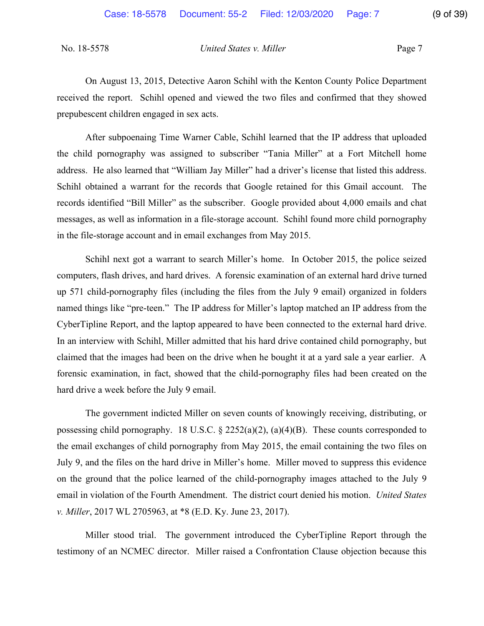On August 13, 2015, Detective Aaron Schihl with the Kenton County Police Department received the report. Schihl opened and viewed the two files and confirmed that they showed prepubescent children engaged in sex acts.

After subpoenaing Time Warner Cable, Schihl learned that the IP address that uploaded the child pornography was assigned to subscriber "Tania Miller" at a Fort Mitchell home address. He also learned that "William Jay Miller" had a driver's license that listed this address. Schihl obtained a warrant for the records that Google retained for this Gmail account. The records identified "Bill Miller" as the subscriber. Google provided about 4,000 emails and chat messages, as well as information in a file-storage account. Schihl found more child pornography in the file-storage account and in email exchanges from May 2015.

Schihl next got a warrant to search Miller's home. In October 2015, the police seized computers, flash drives, and hard drives. A forensic examination of an external hard drive turned up 571 child-pornography files (including the files from the July 9 email) organized in folders named things like "pre-teen." The IP address for Miller's laptop matched an IP address from the CyberTipline Report, and the laptop appeared to have been connected to the external hard drive. In an interview with Schihl, Miller admitted that his hard drive contained child pornography, but claimed that the images had been on the drive when he bought it at a yard sale a year earlier. A forensic examination, in fact, showed that the child-pornography files had been created on the hard drive a week before the July 9 email.

The government indicted Miller on seven counts of knowingly receiving, distributing, or possessing child pornography. 18 U.S.C.  $\S$  2252(a)(2), (a)(4)(B). These counts corresponded to the email exchanges of child pornography from May 2015, the email containing the two files on July 9, and the files on the hard drive in Miller's home. Miller moved to suppress this evidence on the ground that the police learned of the child-pornography images attached to the July 9 email in violation of the Fourth Amendment. The district court denied his motion. *United States v. Miller*, 2017 WL 2705963, at \*8 (E.D. Ky. June 23, 2017).

Miller stood trial. The government introduced the CyberTipline Report through the testimony of an NCMEC director. Miller raised a Confrontation Clause objection because this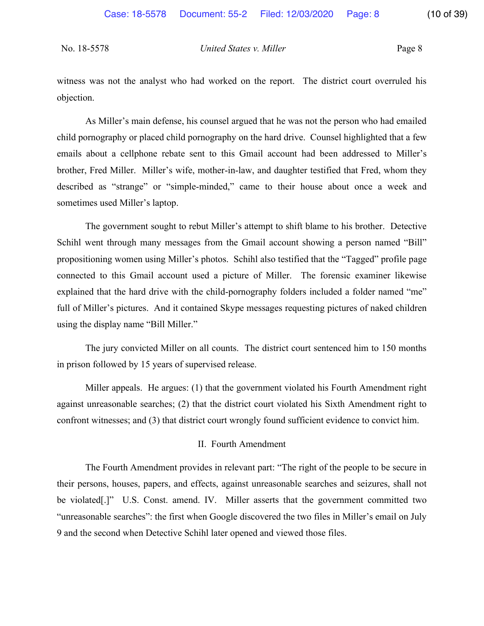witness was not the analyst who had worked on the report. The district court overruled his objection.

As Miller's main defense, his counsel argued that he was not the person who had emailed child pornography or placed child pornography on the hard drive. Counsel highlighted that a few emails about a cellphone rebate sent to this Gmail account had been addressed to Miller's brother, Fred Miller. Miller's wife, mother-in-law, and daughter testified that Fred, whom they described as "strange" or "simple-minded," came to their house about once a week and sometimes used Miller's laptop.

The government sought to rebut Miller's attempt to shift blame to his brother. Detective Schihl went through many messages from the Gmail account showing a person named "Bill" propositioning women using Miller's photos. Schihl also testified that the "Tagged" profile page connected to this Gmail account used a picture of Miller. The forensic examiner likewise explained that the hard drive with the child-pornography folders included a folder named "me" full of Miller's pictures. And it contained Skype messages requesting pictures of naked children using the display name "Bill Miller."

The jury convicted Miller on all counts. The district court sentenced him to 150 months in prison followed by 15 years of supervised release.

Miller appeals. He argues: (1) that the government violated his Fourth Amendment right against unreasonable searches; (2) that the district court violated his Sixth Amendment right to confront witnesses; and (3) that district court wrongly found sufficient evidence to convict him.

#### II. Fourth Amendment

The Fourth Amendment provides in relevant part: "The right of the people to be secure in their persons, houses, papers, and effects, against unreasonable searches and seizures, shall not be violated[.]" U.S. Const. amend. IV. Miller asserts that the government committed two "unreasonable searches": the first when Google discovered the two files in Miller's email on July 9 and the second when Detective Schihl later opened and viewed those files.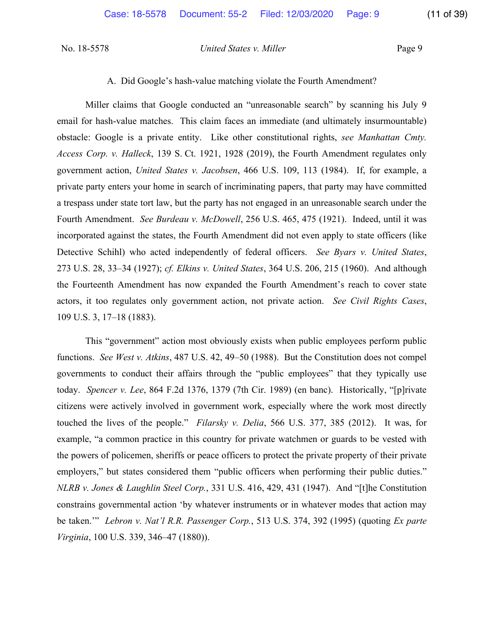#### A. Did Google's hash-value matching violate the Fourth Amendment?

Miller claims that Google conducted an "unreasonable search" by scanning his July 9 email for hash-value matches. This claim faces an immediate (and ultimately insurmountable) obstacle: Google is a private entity. Like other constitutional rights, *see Manhattan Cmty. Access Corp. v. Halleck*, 139 S. Ct. 1921, 1928 (2019), the Fourth Amendment regulates only government action, *United States v. Jacobsen*, 466 U.S. 109, 113 (1984). If, for example, a private party enters your home in search of incriminating papers, that party may have committed a trespass under state tort law, but the party has not engaged in an unreasonable search under the Fourth Amendment. *See Burdeau v. McDowell*, 256 U.S. 465, 475 (1921). Indeed, until it was incorporated against the states, the Fourth Amendment did not even apply to state officers (like Detective Schihl) who acted independently of federal officers. *See Byars v. United States*, 273 U.S. 28, 33–34 (1927); *cf. Elkins v. United States*, 364 U.S. 206, 215 (1960). And although the Fourteenth Amendment has now expanded the Fourth Amendment's reach to cover state actors, it too regulates only government action, not private action. *See Civil Rights Cases*, 109 U.S. 3, 17–18 (1883).

This "government" action most obviously exists when public employees perform public functions. *See West v. Atkins*, 487 U.S. 42, 49–50 (1988). But the Constitution does not compel governments to conduct their affairs through the "public employees" that they typically use today. *Spencer v. Lee*, 864 F.2d 1376, 1379 (7th Cir. 1989) (en banc). Historically, "[p]rivate citizens were actively involved in government work, especially where the work most directly touched the lives of the people." *Filarsky v. Delia*, 566 U.S. 377, 385 (2012). It was, for example, "a common practice in this country for private watchmen or guards to be vested with the powers of policemen, sheriffs or peace officers to protect the private property of their private employers," but states considered them "public officers when performing their public duties." *NLRB v. Jones & Laughlin Steel Corp.*, 331 U.S. 416, 429, 431 (1947). And "[t]he Constitution constrains governmental action 'by whatever instruments or in whatever modes that action may be taken.'" *Lebron v. Nat'l R.R. Passenger Corp.*, 513 U.S. 374, 392 (1995) (quoting *Ex parte Virginia*, 100 U.S. 339, 346–47 (1880)).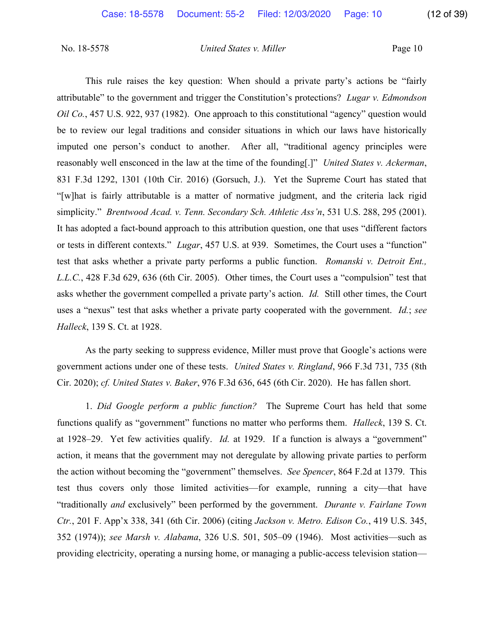This rule raises the key question: When should a private party's actions be "fairly attributable" to the government and trigger the Constitution's protections? *Lugar v. Edmondson Oil Co.*, 457 U.S. 922, 937 (1982). One approach to this constitutional "agency" question would be to review our legal traditions and consider situations in which our laws have historically imputed one person's conduct to another. After all, "traditional agency principles were reasonably well ensconced in the law at the time of the founding[.]" *United States v. Ackerman*, 831 F.3d 1292, 1301 (10th Cir. 2016) (Gorsuch, J.). Yet the Supreme Court has stated that "[w]hat is fairly attributable is a matter of normative judgment, and the criteria lack rigid simplicity." *Brentwood Acad. v. Tenn. Secondary Sch. Athletic Ass'n*, 531 U.S. 288, 295 (2001). It has adopted a fact-bound approach to this attribution question, one that uses "different factors or tests in different contexts." *Lugar*, 457 U.S. at 939. Sometimes, the Court uses a "function" test that asks whether a private party performs a public function. *Romanski v. Detroit Ent., L.L.C.*, 428 F.3d 629, 636 (6th Cir. 2005). Other times, the Court uses a "compulsion" test that asks whether the government compelled a private party's action. *Id.* Still other times, the Court uses a "nexus" test that asks whether a private party cooperated with the government. *Id.*; *see Halleck*, 139 S. Ct. at 1928.

As the party seeking to suppress evidence, Miller must prove that Google's actions were government actions under one of these tests. *United States v. Ringland*, 966 F.3d 731, 735 (8th Cir. 2020); *cf. United States v. Baker*, 976 F.3d 636, 645 (6th Cir. 2020). He has fallen short.

1. *Did Google perform a public function?* The Supreme Court has held that some functions qualify as "government" functions no matter who performs them. *Halleck*, 139 S. Ct. at 1928–29. Yet few activities qualify. *Id.* at 1929. If a function is always a "government" action, it means that the government may not deregulate by allowing private parties to perform the action without becoming the "government" themselves. *See Spencer*, 864 F.2d at 1379. This test thus covers only those limited activities—for example, running a city—that have "traditionally *and* exclusively" been performed by the government. *Durante v. Fairlane Town Ctr.*, 201 F. App'x 338, 341 (6th Cir. 2006) (citing *Jackson v. Metro. Edison Co.*, 419 U.S. 345, 352 (1974)); *see Marsh v. Alabama*, 326 U.S. 501, 505–09 (1946). Most activities—such as providing electricity, operating a nursing home, or managing a public-access television station—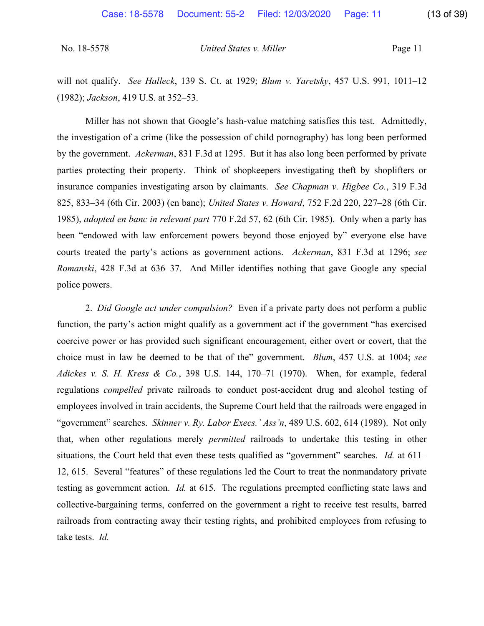will not qualify. *See Halleck*, 139 S. Ct. at 1929; *Blum v. Yaretsky*, 457 U.S. 991, 1011–12 (1982); *Jackson*, 419 U.S. at 352–53.

Miller has not shown that Google's hash-value matching satisfies this test. Admittedly, the investigation of a crime (like the possession of child pornography) has long been performed by the government. *Ackerman*, 831 F.3d at 1295. But it has also long been performed by private parties protecting their property. Think of shopkeepers investigating theft by shoplifters or insurance companies investigating arson by claimants. *See Chapman v. Higbee Co.*, 319 F.3d 825, 833–34 (6th Cir. 2003) (en banc); *United States v. Howard*, 752 F.2d 220, 227–28 (6th Cir. 1985), *adopted en banc in relevant part* 770 F.2d 57, 62 (6th Cir. 1985). Only when a party has been "endowed with law enforcement powers beyond those enjoyed by" everyone else have courts treated the party's actions as government actions. *Ackerman*, 831 F.3d at 1296; *see Romanski*, 428 F.3d at 636–37. And Miller identifies nothing that gave Google any special police powers.

2. *Did Google act under compulsion?* Even if a private party does not perform a public function, the party's action might qualify as a government act if the government "has exercised coercive power or has provided such significant encouragement, either overt or covert, that the choice must in law be deemed to be that of the" government. *Blum*, 457 U.S. at 1004; *see Adickes v. S. H. Kress & Co.*, 398 U.S. 144, 170–71 (1970). When, for example, federal regulations *compelled* private railroads to conduct post-accident drug and alcohol testing of employees involved in train accidents, the Supreme Court held that the railroads were engaged in "government" searches. *Skinner v. Ry. Labor Execs.' Ass'n*, 489 U.S. 602, 614 (1989). Not only that, when other regulations merely *permitted* railroads to undertake this testing in other situations, the Court held that even these tests qualified as "government" searches. *Id.* at 611– 12, 615. Several "features" of these regulations led the Court to treat the nonmandatory private testing as government action. *Id.* at 615. The regulations preempted conflicting state laws and collective-bargaining terms, conferred on the government a right to receive test results, barred railroads from contracting away their testing rights, and prohibited employees from refusing to take tests. *Id.*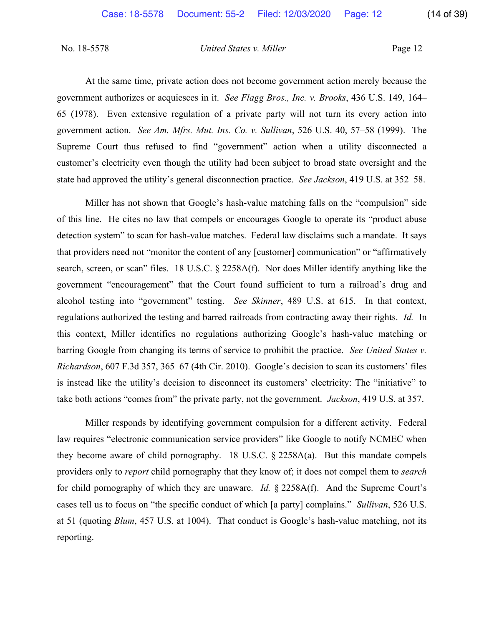At the same time, private action does not become government action merely because the government authorizes or acquiesces in it. *See Flagg Bros., Inc. v. Brooks*, 436 U.S. 149, 164– 65 (1978). Even extensive regulation of a private party will not turn its every action into government action. *See Am. Mfrs. Mut. Ins. Co. v. Sullivan*, 526 U.S. 40, 57–58 (1999). The Supreme Court thus refused to find "government" action when a utility disconnected a customer's electricity even though the utility had been subject to broad state oversight and the state had approved the utility's general disconnection practice. *See Jackson*, 419 U.S. at 352–58.

Miller has not shown that Google's hash-value matching falls on the "compulsion" side of this line. He cites no law that compels or encourages Google to operate its "product abuse detection system" to scan for hash-value matches. Federal law disclaims such a mandate. It says that providers need not "monitor the content of any [customer] communication" or "affirmatively search, screen, or scan" files. 18 U.S.C. § 2258A(f). Nor does Miller identify anything like the government "encouragement" that the Court found sufficient to turn a railroad's drug and alcohol testing into "government" testing. *See Skinner*, 489 U.S. at 615. In that context, regulations authorized the testing and barred railroads from contracting away their rights. *Id.* In this context, Miller identifies no regulations authorizing Google's hash-value matching or barring Google from changing its terms of service to prohibit the practice. *See United States v. Richardson*, 607 F.3d 357, 365–67 (4th Cir. 2010). Google's decision to scan its customers' files is instead like the utility's decision to disconnect its customers' electricity: The "initiative" to take both actions "comes from" the private party, not the government. *Jackson*, 419 U.S. at 357.

Miller responds by identifying government compulsion for a different activity. Federal law requires "electronic communication service providers" like Google to notify NCMEC when they become aware of child pornography. 18 U.S.C. § 2258A(a). But this mandate compels providers only to *report* child pornography that they know of; it does not compel them to *search* for child pornography of which they are unaware. *Id.* § 2258A(f). And the Supreme Court's cases tell us to focus on "the specific conduct of which [a party] complains." *Sullivan*, 526 U.S. at 51 (quoting *Blum*, 457 U.S. at 1004). That conduct is Google's hash-value matching, not its reporting.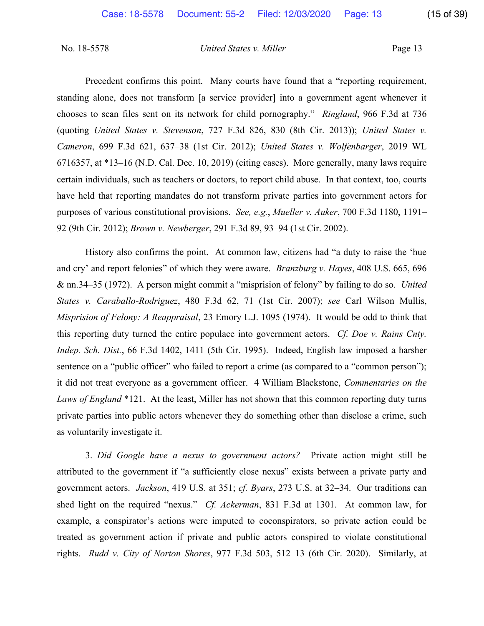Precedent confirms this point. Many courts have found that a "reporting requirement, standing alone, does not transform [a service provider] into a government agent whenever it chooses to scan files sent on its network for child pornography." *Ringland*, 966 F.3d at 736 (quoting *United States v. Stevenson*, 727 F.3d 826, 830 (8th Cir. 2013)); *United States v. Cameron*, 699 F.3d 621, 637–38 (1st Cir. 2012); *United States v. Wolfenbarger*, 2019 WL 6716357, at \*13–16 (N.D. Cal. Dec. 10, 2019) (citing cases). More generally, many laws require certain individuals, such as teachers or doctors, to report child abuse. In that context, too, courts have held that reporting mandates do not transform private parties into government actors for purposes of various constitutional provisions. *See, e.g.*, *Mueller v. Auker*, 700 F.3d 1180, 1191– 92 (9th Cir. 2012); *Brown v. Newberger*, 291 F.3d 89, 93–94 (1st Cir. 2002).

History also confirms the point. At common law, citizens had "a duty to raise the 'hue and cry' and report felonies" of which they were aware. *Branzburg v. Hayes*, 408 U.S. 665, 696 & nn.34–35 (1972). A person might commit a "misprision of felony" by failing to do so. *United States v. Caraballo-Rodriguez*, 480 F.3d 62, 71 (1st Cir. 2007); *see* Carl Wilson Mullis, *Misprision of Felony: A Reappraisal*, 23 Emory L.J. 1095 (1974). It would be odd to think that this reporting duty turned the entire populace into government actors. *Cf. Doe v. Rains Cnty. Indep. Sch. Dist.*, 66 F.3d 1402, 1411 (5th Cir. 1995). Indeed, English law imposed a harsher sentence on a "public officer" who failed to report a crime (as compared to a "common person"); it did not treat everyone as a government officer. 4 William Blackstone, *Commentaries on the Laws of England* \*121. At the least, Miller has not shown that this common reporting duty turns private parties into public actors whenever they do something other than disclose a crime, such as voluntarily investigate it.

3. *Did Google have a nexus to government actors?* Private action might still be attributed to the government if "a sufficiently close nexus" exists between a private party and government actors. *Jackson*, 419 U.S. at 351; *cf. Byars*, 273 U.S. at 32–34. Our traditions can shed light on the required "nexus." *Cf. Ackerman*, 831 F.3d at 1301. At common law, for example, a conspirator's actions were imputed to coconspirators, so private action could be treated as government action if private and public actors conspired to violate constitutional rights. *Rudd v. City of Norton Shores*, 977 F.3d 503, 512–13 (6th Cir. 2020). Similarly, at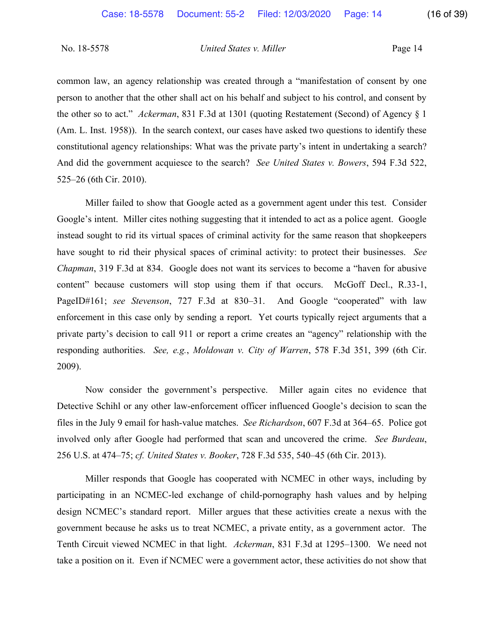common law, an agency relationship was created through a "manifestation of consent by one person to another that the other shall act on his behalf and subject to his control, and consent by the other so to act." *Ackerman*, 831 F.3d at 1301 (quoting Restatement (Second) of Agency § 1 (Am. L. Inst. 1958)). In the search context, our cases have asked two questions to identify these constitutional agency relationships: What was the private party's intent in undertaking a search? And did the government acquiesce to the search? *See United States v. Bowers*, 594 F.3d 522, 525–26 (6th Cir. 2010).

Miller failed to show that Google acted as a government agent under this test. Consider Google's intent. Miller cites nothing suggesting that it intended to act as a police agent. Google instead sought to rid its virtual spaces of criminal activity for the same reason that shopkeepers have sought to rid their physical spaces of criminal activity: to protect their businesses. *See Chapman*, 319 F.3d at 834. Google does not want its services to become a "haven for abusive content" because customers will stop using them if that occurs. McGoff Decl., R.33-1, PageID#161; *see Stevenson*, 727 F.3d at 830–31. And Google "cooperated" with law enforcement in this case only by sending a report. Yet courts typically reject arguments that a private party's decision to call 911 or report a crime creates an "agency" relationship with the responding authorities. *See, e.g.*, *Moldowan v. City of Warren*, 578 F.3d 351, 399 (6th Cir. 2009).

Now consider the government's perspective. Miller again cites no evidence that Detective Schihl or any other law-enforcement officer influenced Google's decision to scan the files in the July 9 email for hash-value matches. *See Richardson*, 607 F.3d at 364–65. Police got involved only after Google had performed that scan and uncovered the crime. *See Burdeau*, 256 U.S. at 474–75; *cf. United States v. Booker*, 728 F.3d 535, 540–45 (6th Cir. 2013).

Miller responds that Google has cooperated with NCMEC in other ways, including by participating in an NCMEC-led exchange of child-pornography hash values and by helping design NCMEC's standard report. Miller argues that these activities create a nexus with the government because he asks us to treat NCMEC, a private entity, as a government actor. The Tenth Circuit viewed NCMEC in that light. *Ackerman*, 831 F.3d at 1295–1300. We need not take a position on it. Even if NCMEC were a government actor, these activities do not show that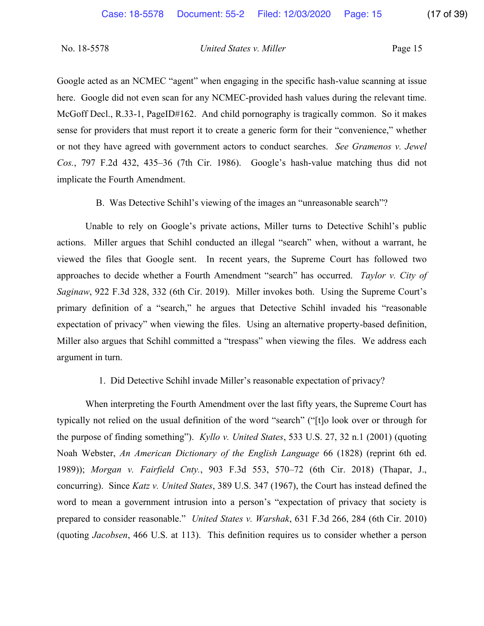Google acted as an NCMEC "agent" when engaging in the specific hash-value scanning at issue here. Google did not even scan for any NCMEC-provided hash values during the relevant time. McGoff Decl., R.33-1, PageID#162. And child pornography is tragically common. So it makes sense for providers that must report it to create a generic form for their "convenience," whether or not they have agreed with government actors to conduct searches. *See Gramenos v. Jewel Cos.*, 797 F.2d 432, 435–36 (7th Cir. 1986). Google's hash-value matching thus did not implicate the Fourth Amendment.

B. Was Detective Schihl's viewing of the images an "unreasonable search"?

Unable to rely on Google's private actions, Miller turns to Detective Schihl's public actions. Miller argues that Schihl conducted an illegal "search" when, without a warrant, he viewed the files that Google sent. In recent years, the Supreme Court has followed two approaches to decide whether a Fourth Amendment "search" has occurred. *Taylor v. City of Saginaw*, 922 F.3d 328, 332 (6th Cir. 2019). Miller invokes both. Using the Supreme Court's primary definition of a "search," he argues that Detective Schihl invaded his "reasonable expectation of privacy" when viewing the files. Using an alternative property-based definition, Miller also argues that Schihl committed a "trespass" when viewing the files. We address each argument in turn.

#### 1. Did Detective Schihl invade Miller's reasonable expectation of privacy?

When interpreting the Fourth Amendment over the last fifty years, the Supreme Court has typically not relied on the usual definition of the word "search" ("[t]o look over or through for the purpose of finding something"). *Kyllo v. United States*, 533 U.S. 27, 32 n.1 (2001) (quoting Noah Webster, *An American Dictionary of the English Language* 66 (1828) (reprint 6th ed. 1989)); *Morgan v. Fairfield Cnty.*, 903 F.3d 553, 570–72 (6th Cir. 2018) (Thapar, J., concurring). Since *Katz v. United States*, 389 U.S. 347 (1967), the Court has instead defined the word to mean a government intrusion into a person's "expectation of privacy that society is prepared to consider reasonable." *United States v. Warshak*, 631 F.3d 266, 284 (6th Cir. 2010) (quoting *Jacobsen*, 466 U.S. at 113). This definition requires us to consider whether a person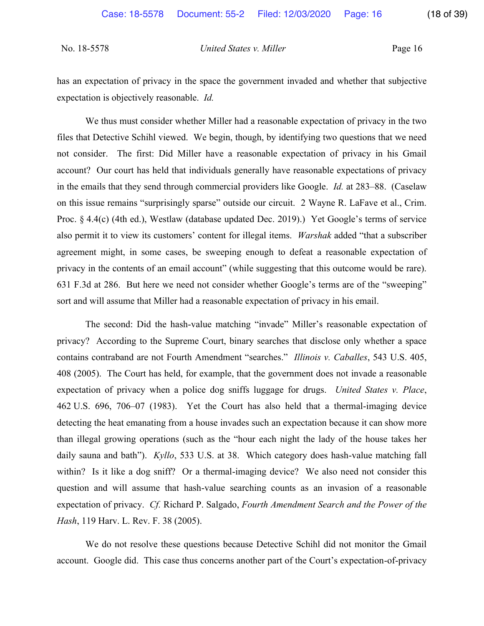has an expectation of privacy in the space the government invaded and whether that subjective expectation is objectively reasonable. *Id.*

We thus must consider whether Miller had a reasonable expectation of privacy in the two files that Detective Schihl viewed. We begin, though, by identifying two questions that we need not consider. The first: Did Miller have a reasonable expectation of privacy in his Gmail account? Our court has held that individuals generally have reasonable expectations of privacy in the emails that they send through commercial providers like Google. *Id.* at 283–88. (Caselaw on this issue remains "surprisingly sparse" outside our circuit. 2 Wayne R. LaFave et al., Crim. Proc. § 4.4(c) (4th ed.), Westlaw (database updated Dec. 2019).) Yet Google's terms of service also permit it to view its customers' content for illegal items. *Warshak* added "that a subscriber agreement might, in some cases, be sweeping enough to defeat a reasonable expectation of privacy in the contents of an email account" (while suggesting that this outcome would be rare). 631 F.3d at 286. But here we need not consider whether Google's terms are of the "sweeping" sort and will assume that Miller had a reasonable expectation of privacy in his email.

The second: Did the hash-value matching "invade" Miller's reasonable expectation of privacy? According to the Supreme Court, binary searches that disclose only whether a space contains contraband are not Fourth Amendment "searches." *Illinois v. Caballes*, 543 U.S. 405, 408 (2005). The Court has held, for example, that the government does not invade a reasonable expectation of privacy when a police dog sniffs luggage for drugs. *United States v. Place*, 462 U.S. 696, 706–07 (1983). Yet the Court has also held that a thermal-imaging device detecting the heat emanating from a house invades such an expectation because it can show more than illegal growing operations (such as the "hour each night the lady of the house takes her daily sauna and bath"). *Kyllo*, 533 U.S. at 38. Which category does hash-value matching fall within? Is it like a dog sniff? Or a thermal-imaging device? We also need not consider this question and will assume that hash-value searching counts as an invasion of a reasonable expectation of privacy. *Cf.* Richard P. Salgado, *Fourth Amendment Search and the Power of the Hash*, 119 Harv. L. Rev. F. 38 (2005).

We do not resolve these questions because Detective Schihl did not monitor the Gmail account. Google did. This case thus concerns another part of the Court's expectation-of-privacy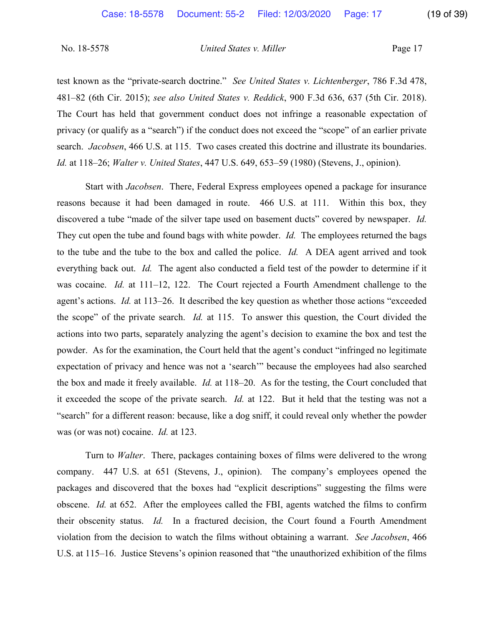test known as the "private-search doctrine." *See United States v. Lichtenberger*, 786 F.3d 478, 481–82 (6th Cir. 2015); *see also United States v. Reddick*, 900 F.3d 636, 637 (5th Cir. 2018). The Court has held that government conduct does not infringe a reasonable expectation of privacy (or qualify as a "search") if the conduct does not exceed the "scope" of an earlier private search. *Jacobsen*, 466 U.S. at 115. Two cases created this doctrine and illustrate its boundaries. *Id.* at 118–26; *Walter v. United States*, 447 U.S. 649, 653–59 (1980) (Stevens, J., opinion).

Start with *Jacobsen*. There, Federal Express employees opened a package for insurance reasons because it had been damaged in route. 466 U.S. at 111. Within this box, they discovered a tube "made of the silver tape used on basement ducts" covered by newspaper. *Id.* They cut open the tube and found bags with white powder. *Id.* The employees returned the bags to the tube and the tube to the box and called the police. *Id.* A DEA agent arrived and took everything back out. *Id.* The agent also conducted a field test of the powder to determine if it was cocaine. *Id.* at 111–12, 122. The Court rejected a Fourth Amendment challenge to the agent's actions. *Id.* at 113–26. It described the key question as whether those actions "exceeded the scope" of the private search. *Id.* at 115. To answer this question, the Court divided the actions into two parts, separately analyzing the agent's decision to examine the box and test the powder. As for the examination, the Court held that the agent's conduct "infringed no legitimate expectation of privacy and hence was not a 'search'" because the employees had also searched the box and made it freely available. *Id.* at 118–20. As for the testing, the Court concluded that it exceeded the scope of the private search. *Id.* at 122. But it held that the testing was not a "search" for a different reason: because, like a dog sniff, it could reveal only whether the powder was (or was not) cocaine. *Id.* at 123.

Turn to *Walter*. There, packages containing boxes of films were delivered to the wrong company. 447 U.S. at 651 (Stevens, J., opinion). The company's employees opened the packages and discovered that the boxes had "explicit descriptions" suggesting the films were obscene. *Id.* at 652. After the employees called the FBI, agents watched the films to confirm their obscenity status. *Id.* In a fractured decision, the Court found a Fourth Amendment violation from the decision to watch the films without obtaining a warrant. *See Jacobsen*, 466 U.S. at 115–16. Justice Stevens's opinion reasoned that "the unauthorized exhibition of the films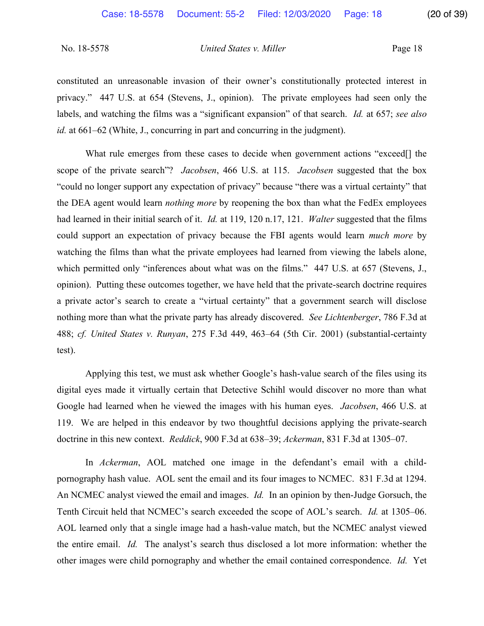constituted an unreasonable invasion of their owner's constitutionally protected interest in privacy." 447 U.S. at 654 (Stevens, J., opinion). The private employees had seen only the labels, and watching the films was a "significant expansion" of that search. *Id.* at 657; *see also id.* at 661–62 (White, J., concurring in part and concurring in the judgment).

What rule emerges from these cases to decide when government actions "exceed<sup>[]</sup> the scope of the private search"? *Jacobsen*, 466 U.S. at 115. *Jacobsen* suggested that the box "could no longer support any expectation of privacy" because "there was a virtual certainty" that the DEA agent would learn *nothing more* by reopening the box than what the FedEx employees had learned in their initial search of it. *Id.* at 119, 120 n.17, 121. *Walter* suggested that the films could support an expectation of privacy because the FBI agents would learn *much more* by watching the films than what the private employees had learned from viewing the labels alone, which permitted only "inferences about what was on the films." 447 U.S. at 657 (Stevens, J., opinion). Putting these outcomes together, we have held that the private-search doctrine requires a private actor's search to create a "virtual certainty" that a government search will disclose nothing more than what the private party has already discovered. *See Lichtenberger*, 786 F.3d at 488; *cf. United States v. Runyan*, 275 F.3d 449, 463–64 (5th Cir. 2001) (substantial-certainty test).

Applying this test, we must ask whether Google's hash-value search of the files using its digital eyes made it virtually certain that Detective Schihl would discover no more than what Google had learned when he viewed the images with his human eyes. *Jacobsen*, 466 U.S. at 119. We are helped in this endeavor by two thoughtful decisions applying the private-search doctrine in this new context. *Reddick*, 900 F.3d at 638–39; *Ackerman*, 831 F.3d at 1305–07.

In *Ackerman*, AOL matched one image in the defendant's email with a childpornography hash value. AOL sent the email and its four images to NCMEC. 831 F.3d at 1294. An NCMEC analyst viewed the email and images. *Id.* In an opinion by then-Judge Gorsuch, the Tenth Circuit held that NCMEC's search exceeded the scope of AOL's search. *Id.* at 1305–06. AOL learned only that a single image had a hash-value match, but the NCMEC analyst viewed the entire email. *Id.* The analyst's search thus disclosed a lot more information: whether the other images were child pornography and whether the email contained correspondence. *Id.* Yet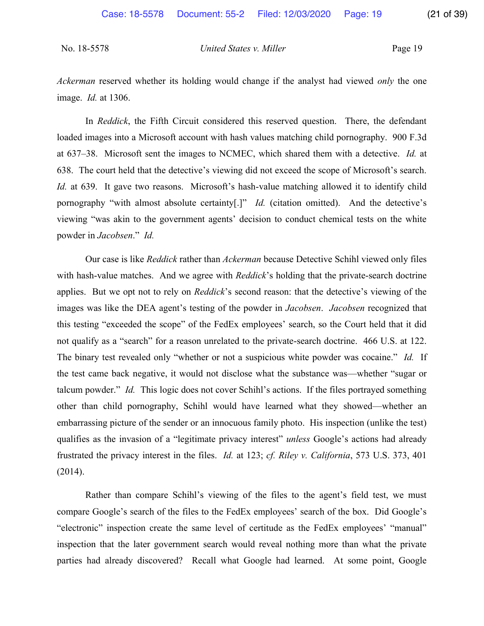*Ackerman* reserved whether its holding would change if the analyst had viewed *only* the one image. *Id.* at 1306.

In *Reddick*, the Fifth Circuit considered this reserved question. There, the defendant loaded images into a Microsoft account with hash values matching child pornography. 900 F.3d at 637–38. Microsoft sent the images to NCMEC, which shared them with a detective. *Id.* at 638. The court held that the detective's viewing did not exceed the scope of Microsoft's search. *Id.* at 639. It gave two reasons. Microsoft's hash-value matching allowed it to identify child pornography "with almost absolute certainty[.]" *Id.* (citation omitted). And the detective's viewing "was akin to the government agents' decision to conduct chemical tests on the white powder in *Jacobsen*." *Id.*

Our case is like *Reddick* rather than *Ackerman* because Detective Schihl viewed only files with hash-value matches. And we agree with *Reddick*'s holding that the private-search doctrine applies. But we opt not to rely on *Reddick*'s second reason: that the detective's viewing of the images was like the DEA agent's testing of the powder in *Jacobsen*. *Jacobsen* recognized that this testing "exceeded the scope" of the FedEx employees' search, so the Court held that it did not qualify as a "search" for a reason unrelated to the private-search doctrine. 466 U.S. at 122. The binary test revealed only "whether or not a suspicious white powder was cocaine." *Id.* If the test came back negative, it would not disclose what the substance was—whether "sugar or talcum powder." *Id.* This logic does not cover Schihl's actions. If the files portrayed something other than child pornography, Schihl would have learned what they showed—whether an embarrassing picture of the sender or an innocuous family photo. His inspection (unlike the test) qualifies as the invasion of a "legitimate privacy interest" *unless* Google's actions had already frustrated the privacy interest in the files. *Id.* at 123; *cf. Riley v. California*, 573 U.S. 373, 401 (2014).

Rather than compare Schihl's viewing of the files to the agent's field test, we must compare Google's search of the files to the FedEx employees' search of the box. Did Google's "electronic" inspection create the same level of certitude as the FedEx employees' "manual" inspection that the later government search would reveal nothing more than what the private parties had already discovered? Recall what Google had learned. At some point, Google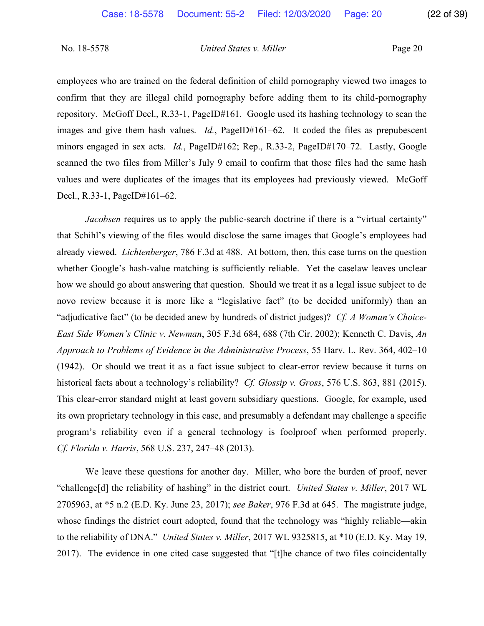employees who are trained on the federal definition of child pornography viewed two images to confirm that they are illegal child pornography before adding them to its child-pornography repository. McGoff Decl., R.33-1, PageID#161. Google used its hashing technology to scan the images and give them hash values. *Id.*, PageID#161–62. It coded the files as prepubescent minors engaged in sex acts. *Id.*, PageID#162; Rep., R.33-2, PageID#170–72. Lastly, Google scanned the two files from Miller's July 9 email to confirm that those files had the same hash values and were duplicates of the images that its employees had previously viewed. McGoff Decl., R.33-1, PageID#161–62.

*Jacobsen* requires us to apply the public-search doctrine if there is a "virtual certainty" that Schihl's viewing of the files would disclose the same images that Google's employees had already viewed. *Lichtenberger*, 786 F.3d at 488. At bottom, then, this case turns on the question whether Google's hash-value matching is sufficiently reliable. Yet the caselaw leaves unclear how we should go about answering that question. Should we treat it as a legal issue subject to de novo review because it is more like a "legislative fact" (to be decided uniformly) than an "adjudicative fact" (to be decided anew by hundreds of district judges)? *Cf. A Woman's Choice-East Side Women's Clinic v. Newman*, 305 F.3d 684, 688 (7th Cir. 2002); Kenneth C. Davis, *An Approach to Problems of Evidence in the Administrative Process*, 55 Harv. L. Rev. 364, 402–10 (1942). Or should we treat it as a fact issue subject to clear-error review because it turns on historical facts about a technology's reliability? *Cf. Glossip v. Gross*, 576 U.S. 863, 881 (2015). This clear-error standard might at least govern subsidiary questions. Google, for example, used its own proprietary technology in this case, and presumably a defendant may challenge a specific program's reliability even if a general technology is foolproof when performed properly. *Cf. Florida v. Harris*, 568 U.S. 237, 247–48 (2013).

We leave these questions for another day. Miller, who bore the burden of proof, never "challenge[d] the reliability of hashing" in the district court. *United States v. Miller*, 2017 WL 2705963, at \*5 n.2 (E.D. Ky. June 23, 2017); *see Baker*, 976 F.3d at 645. The magistrate judge, whose findings the district court adopted, found that the technology was "highly reliable—akin to the reliability of DNA." *United States v. Miller*, 2017 WL 9325815, at \*10 (E.D. Ky. May 19, 2017). The evidence in one cited case suggested that "[t]he chance of two files coincidentally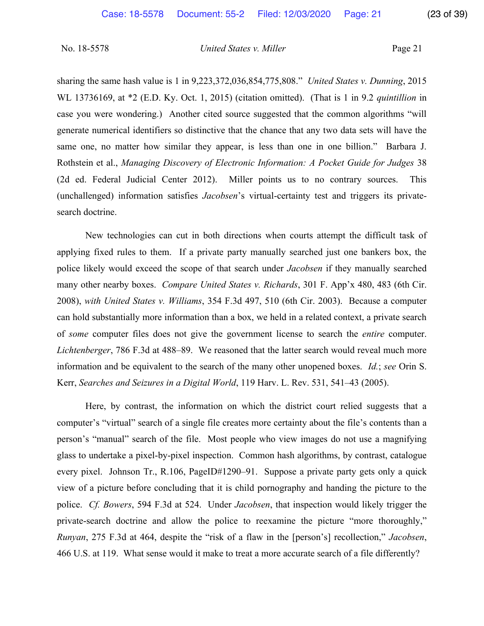sharing the same hash value is 1 in 9,223,372,036,854,775,808." *United States v. Dunning*, 2015 WL 13736169, at \*2 (E.D. Ky. Oct. 1, 2015) (citation omitted). (That is 1 in 9.2 *quintillion* in case you were wondering.) Another cited source suggested that the common algorithms "will generate numerical identifiers so distinctive that the chance that any two data sets will have the same one, no matter how similar they appear, is less than one in one billion." Barbara J. Rothstein et al., *Managing Discovery of Electronic Information: A Pocket Guide for Judges* 38 (2d ed. Federal Judicial Center 2012). Miller points us to no contrary sources. This (unchallenged) information satisfies *Jacobsen*'s virtual-certainty test and triggers its privatesearch doctrine.

New technologies can cut in both directions when courts attempt the difficult task of applying fixed rules to them. If a private party manually searched just one bankers box, the police likely would exceed the scope of that search under *Jacobsen* if they manually searched many other nearby boxes. *Compare United States v. Richards*, 301 F. App'x 480, 483 (6th Cir. 2008), *with United States v. Williams*, 354 F.3d 497, 510 (6th Cir. 2003). Because a computer can hold substantially more information than a box, we held in a related context, a private search of *some* computer files does not give the government license to search the *entire* computer. *Lichtenberger*, 786 F.3d at 488–89. We reasoned that the latter search would reveal much more information and be equivalent to the search of the many other unopened boxes. *Id.*; *see* Orin S. Kerr, *Searches and Seizures in a Digital World*, 119 Harv. L. Rev. 531, 541–43 (2005).

Here, by contrast, the information on which the district court relied suggests that a computer's "virtual" search of a single file creates more certainty about the file's contents than a person's "manual" search of the file. Most people who view images do not use a magnifying glass to undertake a pixel-by-pixel inspection. Common hash algorithms, by contrast, catalogue every pixel. Johnson Tr., R.106, PageID#1290–91. Suppose a private party gets only a quick view of a picture before concluding that it is child pornography and handing the picture to the police. *Cf. Bowers*, 594 F.3d at 524. Under *Jacobsen*, that inspection would likely trigger the private-search doctrine and allow the police to reexamine the picture "more thoroughly," *Runyan*, 275 F.3d at 464, despite the "risk of a flaw in the [person's] recollection," *Jacobsen*, 466 U.S. at 119. What sense would it make to treat a more accurate search of a file differently?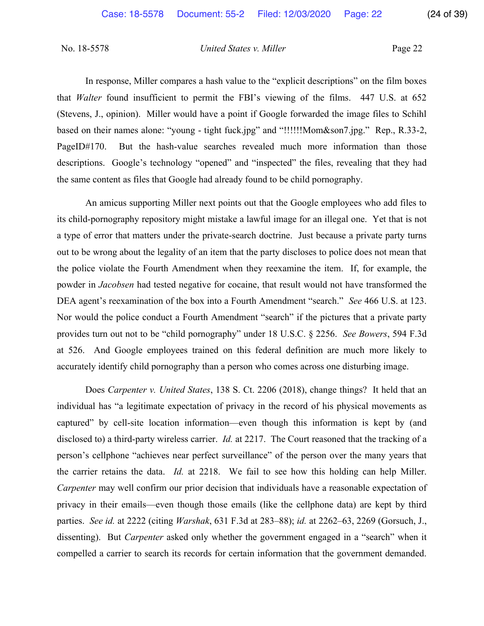In response, Miller compares a hash value to the "explicit descriptions" on the film boxes that *Walter* found insufficient to permit the FBI's viewing of the films. 447 U.S. at 652 (Stevens, J., opinion). Miller would have a point if Google forwarded the image files to Schihl based on their names alone: "young - tight fuck.jpg" and "!!!!!!Mom&son7.jpg." Rep., R.33-2, PageID#170. But the hash-value searches revealed much more information than those descriptions. Google's technology "opened" and "inspected" the files, revealing that they had the same content as files that Google had already found to be child pornography.

An amicus supporting Miller next points out that the Google employees who add files to its child-pornography repository might mistake a lawful image for an illegal one. Yet that is not a type of error that matters under the private-search doctrine. Just because a private party turns out to be wrong about the legality of an item that the party discloses to police does not mean that the police violate the Fourth Amendment when they reexamine the item. If, for example, the powder in *Jacobsen* had tested negative for cocaine, that result would not have transformed the DEA agent's reexamination of the box into a Fourth Amendment "search." *See* 466 U.S. at 123. Nor would the police conduct a Fourth Amendment "search" if the pictures that a private party provides turn out not to be "child pornography" under 18 U.S.C. § 2256. *See Bowers*, 594 F.3d at 526. And Google employees trained on this federal definition are much more likely to accurately identify child pornography than a person who comes across one disturbing image.

Does *Carpenter v. United States*, 138 S. Ct. 2206 (2018), change things? It held that an individual has "a legitimate expectation of privacy in the record of his physical movements as captured" by cell-site location information—even though this information is kept by (and disclosed to) a third-party wireless carrier. *Id.* at 2217. The Court reasoned that the tracking of a person's cellphone "achieves near perfect surveillance" of the person over the many years that the carrier retains the data. *Id.* at 2218. We fail to see how this holding can help Miller. *Carpenter* may well confirm our prior decision that individuals have a reasonable expectation of privacy in their emails—even though those emails (like the cellphone data) are kept by third parties. *See id.* at 2222 (citing *Warshak*, 631 F.3d at 283–88); *id.* at 2262–63, 2269 (Gorsuch, J., dissenting). But *Carpenter* asked only whether the government engaged in a "search" when it compelled a carrier to search its records for certain information that the government demanded.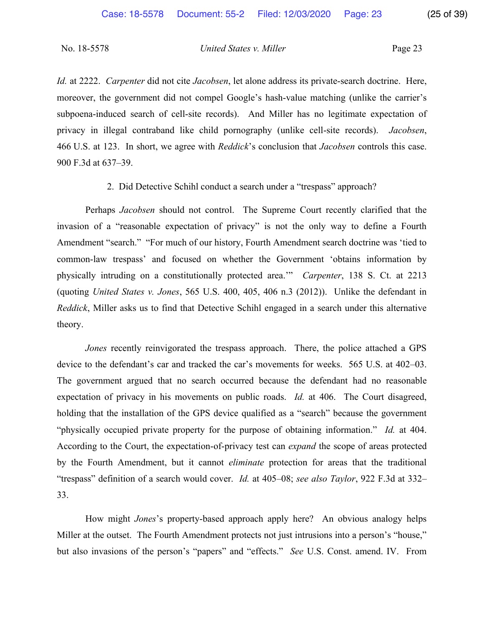*Id.* at 2222. *Carpenter* did not cite *Jacobsen*, let alone address its private-search doctrine. Here, moreover, the government did not compel Google's hash-value matching (unlike the carrier's subpoena-induced search of cell-site records). And Miller has no legitimate expectation of privacy in illegal contraband like child pornography (unlike cell-site records). *Jacobsen*, 466 U.S. at 123. In short, we agree with *Reddick*'s conclusion that *Jacobsen* controls this case. 900 F.3d at 637–39.

2. Did Detective Schihl conduct a search under a "trespass" approach?

Perhaps *Jacobsen* should not control. The Supreme Court recently clarified that the invasion of a "reasonable expectation of privacy" is not the only way to define a Fourth Amendment "search." "For much of our history, Fourth Amendment search doctrine was 'tied to common-law trespass' and focused on whether the Government 'obtains information by physically intruding on a constitutionally protected area.'" *Carpenter*, 138 S. Ct. at 2213 (quoting *United States v. Jones*, 565 U.S. 400, 405, 406 n.3 (2012)). Unlike the defendant in *Reddick*, Miller asks us to find that Detective Schihl engaged in a search under this alternative theory.

*Jones* recently reinvigorated the trespass approach. There, the police attached a GPS device to the defendant's car and tracked the car's movements for weeks. 565 U.S. at 402–03. The government argued that no search occurred because the defendant had no reasonable expectation of privacy in his movements on public roads. *Id.* at 406. The Court disagreed, holding that the installation of the GPS device qualified as a "search" because the government "physically occupied private property for the purpose of obtaining information." *Id.* at 404. According to the Court, the expectation-of-privacy test can *expand* the scope of areas protected by the Fourth Amendment, but it cannot *eliminate* protection for areas that the traditional "trespass" definition of a search would cover. *Id.* at 405–08; *see also Taylor*, 922 F.3d at 332– 33.

How might *Jones*'s property-based approach apply here? An obvious analogy helps Miller at the outset. The Fourth Amendment protects not just intrusions into a person's "house," but also invasions of the person's "papers" and "effects." *See* U.S. Const. amend. IV. From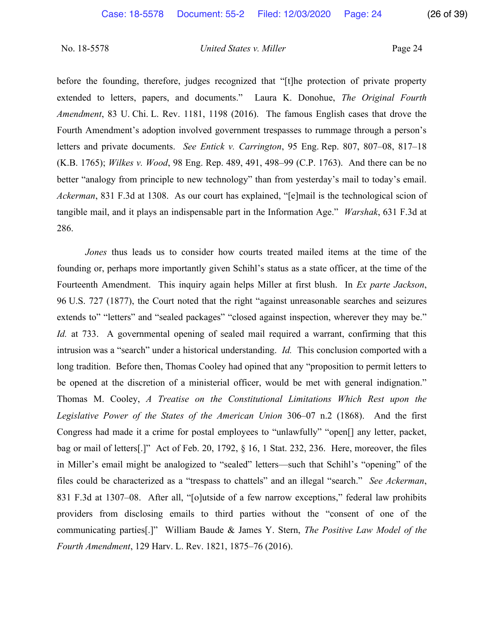before the founding, therefore, judges recognized that "[t]he protection of private property extended to letters, papers, and documents." Laura K. Donohue, *The Original Fourth Amendment*, 83 U. Chi. L. Rev. 1181, 1198 (2016). The famous English cases that drove the Fourth Amendment's adoption involved government trespasses to rummage through a person's letters and private documents. *See Entick v. Carrington*, 95 Eng. Rep. 807, 807–08, 817–18 (K.B. 1765); *Wilkes v. Wood*, 98 Eng. Rep. 489, 491, 498–99 (C.P. 1763). And there can be no better "analogy from principle to new technology" than from yesterday's mail to today's email. *Ackerman*, 831 F.3d at 1308. As our court has explained, "[e]mail is the technological scion of tangible mail, and it plays an indispensable part in the Information Age." *Warshak*, 631 F.3d at 286.

*Jones* thus leads us to consider how courts treated mailed items at the time of the founding or, perhaps more importantly given Schihl's status as a state officer, at the time of the Fourteenth Amendment. This inquiry again helps Miller at first blush. In *Ex parte Jackson*, 96 U.S. 727 (1877), the Court noted that the right "against unreasonable searches and seizures extends to" "letters" and "sealed packages" "closed against inspection, wherever they may be." *Id.* at 733. A governmental opening of sealed mail required a warrant, confirming that this intrusion was a "search" under a historical understanding. *Id.* This conclusion comported with a long tradition. Before then, Thomas Cooley had opined that any "proposition to permit letters to be opened at the discretion of a ministerial officer, would be met with general indignation." Thomas M. Cooley, *A Treatise on the Constitutional Limitations Which Rest upon the Legislative Power of the States of the American Union* 306–07 n.2 (1868). And the first Congress had made it a crime for postal employees to "unlawfully" "open[] any letter, packet, bag or mail of letters[.]" Act of Feb. 20, 1792, § 16, 1 Stat. 232, 236. Here, moreover, the files in Miller's email might be analogized to "sealed" letters—such that Schihl's "opening" of the files could be characterized as a "trespass to chattels" and an illegal "search." *See Ackerman*, 831 F.3d at 1307–08. After all, "[o]utside of a few narrow exceptions," federal law prohibits providers from disclosing emails to third parties without the "consent of one of the communicating parties[.]" William Baude & James Y. Stern, *The Positive Law Model of the Fourth Amendment*, 129 Harv. L. Rev. 1821, 1875–76 (2016).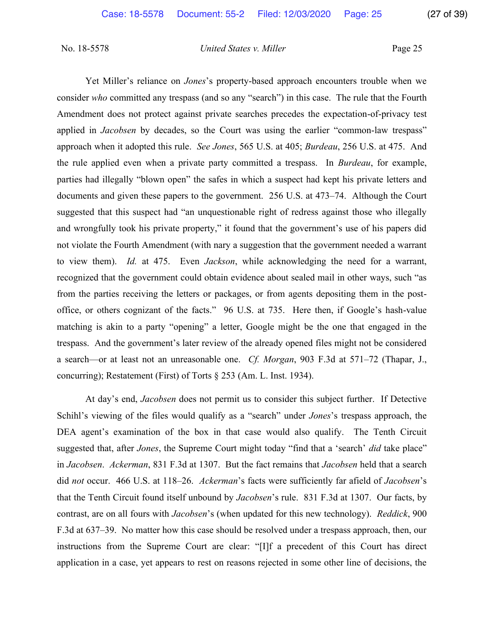Yet Miller's reliance on *Jones*'s property-based approach encounters trouble when we consider *who* committed any trespass (and so any "search") in this case. The rule that the Fourth Amendment does not protect against private searches precedes the expectation-of-privacy test applied in *Jacobsen* by decades, so the Court was using the earlier "common-law trespass" approach when it adopted this rule. *See Jones*, 565 U.S. at 405; *Burdeau*, 256 U.S. at 475. And the rule applied even when a private party committed a trespass. In *Burdeau*, for example, parties had illegally "blown open" the safes in which a suspect had kept his private letters and documents and given these papers to the government. 256 U.S. at 473–74. Although the Court suggested that this suspect had "an unquestionable right of redress against those who illegally and wrongfully took his private property," it found that the government's use of his papers did not violate the Fourth Amendment (with nary a suggestion that the government needed a warrant to view them). *Id.* at 475. Even *Jackson*, while acknowledging the need for a warrant, recognized that the government could obtain evidence about sealed mail in other ways, such "as from the parties receiving the letters or packages, or from agents depositing them in the postoffice, or others cognizant of the facts." 96 U.S. at 735. Here then, if Google's hash-value matching is akin to a party "opening" a letter, Google might be the one that engaged in the trespass. And the government's later review of the already opened files might not be considered a search—or at least not an unreasonable one. *Cf. Morgan*, 903 F.3d at 571–72 (Thapar, J., concurring); Restatement (First) of Torts § 253 (Am. L. Inst. 1934).

At day's end, *Jacobsen* does not permit us to consider this subject further. If Detective Schihl's viewing of the files would qualify as a "search" under *Jones*'s trespass approach, the DEA agent's examination of the box in that case would also qualify. The Tenth Circuit suggested that, after *Jones*, the Supreme Court might today "find that a 'search' *did* take place" in *Jacobsen*. *Ackerman*, 831 F.3d at 1307. But the fact remains that *Jacobsen* held that a search did *not* occur. 466 U.S. at 118–26. *Ackerman*'s facts were sufficiently far afield of *Jacobsen*'s that the Tenth Circuit found itself unbound by *Jacobsen*'s rule. 831 F.3d at 1307. Our facts, by contrast, are on all fours with *Jacobsen*'s (when updated for this new technology). *Reddick*, 900 F.3d at 637–39. No matter how this case should be resolved under a trespass approach, then, our instructions from the Supreme Court are clear: "[I]f a precedent of this Court has direct application in a case, yet appears to rest on reasons rejected in some other line of decisions, the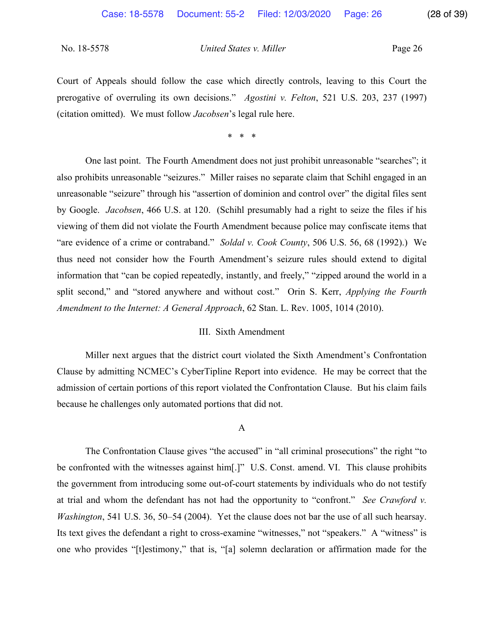Court of Appeals should follow the case which directly controls, leaving to this Court the prerogative of overruling its own decisions." *Agostini v. Felton*, 521 U.S. 203, 237 (1997) (citation omitted). We must follow *Jacobsen*'s legal rule here.

\* \* \*

One last point. The Fourth Amendment does not just prohibit unreasonable "searches"; it also prohibits unreasonable "seizures." Miller raises no separate claim that Schihl engaged in an unreasonable "seizure" through his "assertion of dominion and control over" the digital files sent by Google. *Jacobsen*, 466 U.S. at 120. (Schihl presumably had a right to seize the files if his viewing of them did not violate the Fourth Amendment because police may confiscate items that "are evidence of a crime or contraband." *Soldal v. Cook County*, 506 U.S. 56, 68 (1992).) We thus need not consider how the Fourth Amendment's seizure rules should extend to digital information that "can be copied repeatedly, instantly, and freely," "zipped around the world in a split second," and "stored anywhere and without cost." Orin S. Kerr, *Applying the Fourth Amendment to the Internet: A General Approach*, 62 Stan. L. Rev. 1005, 1014 (2010).

#### III. Sixth Amendment

Miller next argues that the district court violated the Sixth Amendment's Confrontation Clause by admitting NCMEC's CyberTipline Report into evidence. He may be correct that the admission of certain portions of this report violated the Confrontation Clause. But his claim fails because he challenges only automated portions that did not.

#### A

The Confrontation Clause gives "the accused" in "all criminal prosecutions" the right "to be confronted with the witnesses against him[.]" U.S. Const. amend. VI. This clause prohibits the government from introducing some out-of-court statements by individuals who do not testify at trial and whom the defendant has not had the opportunity to "confront." *See Crawford v. Washington*, 541 U.S. 36, 50–54 (2004). Yet the clause does not bar the use of all such hearsay. Its text gives the defendant a right to cross-examine "witnesses," not "speakers." A "witness" is one who provides "[t]estimony," that is, "[a] solemn declaration or affirmation made for the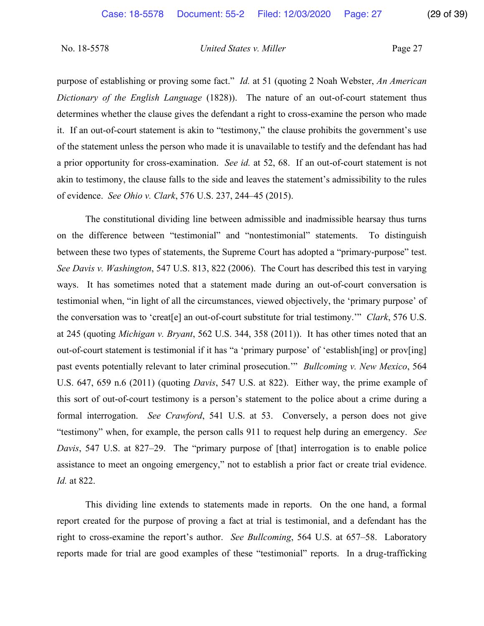purpose of establishing or proving some fact." *Id.* at 51 (quoting 2 Noah Webster, *An American Dictionary of the English Language* (1828)). The nature of an out-of-court statement thus determines whether the clause gives the defendant a right to cross-examine the person who made it. If an out-of-court statement is akin to "testimony," the clause prohibits the government's use of the statement unless the person who made it is unavailable to testify and the defendant has had a prior opportunity for cross-examination. *See id.* at 52, 68. If an out-of-court statement is not akin to testimony, the clause falls to the side and leaves the statement's admissibility to the rules of evidence. *See Ohio v. Clark*, 576 U.S. 237, 244–45 (2015).

The constitutional dividing line between admissible and inadmissible hearsay thus turns on the difference between "testimonial" and "nontestimonial" statements. To distinguish between these two types of statements, the Supreme Court has adopted a "primary-purpose" test. *See Davis v. Washington*, 547 U.S. 813, 822 (2006). The Court has described this test in varying ways. It has sometimes noted that a statement made during an out-of-court conversation is testimonial when, "in light of all the circumstances, viewed objectively, the 'primary purpose' of the conversation was to 'creat[e] an out-of-court substitute for trial testimony.'" *Clark*, 576 U.S. at 245 (quoting *Michigan v. Bryant*, 562 U.S. 344, 358 (2011)). It has other times noted that an out-of-court statement is testimonial if it has "a 'primary purpose' of 'establish[ing] or prov[ing] past events potentially relevant to later criminal prosecution.'" *Bullcoming v. New Mexico*, 564 U.S. 647, 659 n.6 (2011) (quoting *Davis*, 547 U.S. at 822). Either way, the prime example of this sort of out-of-court testimony is a person's statement to the police about a crime during a formal interrogation. *See Crawford*, 541 U.S. at 53. Conversely, a person does not give "testimony" when, for example, the person calls 911 to request help during an emergency. *See Davis*, 547 U.S. at 827–29. The "primary purpose of [that] interrogation is to enable police assistance to meet an ongoing emergency," not to establish a prior fact or create trial evidence. *Id.* at 822.

This dividing line extends to statements made in reports. On the one hand, a formal report created for the purpose of proving a fact at trial is testimonial, and a defendant has the right to cross-examine the report's author. *See Bullcoming*, 564 U.S. at 657–58. Laboratory reports made for trial are good examples of these "testimonial" reports. In a drug-trafficking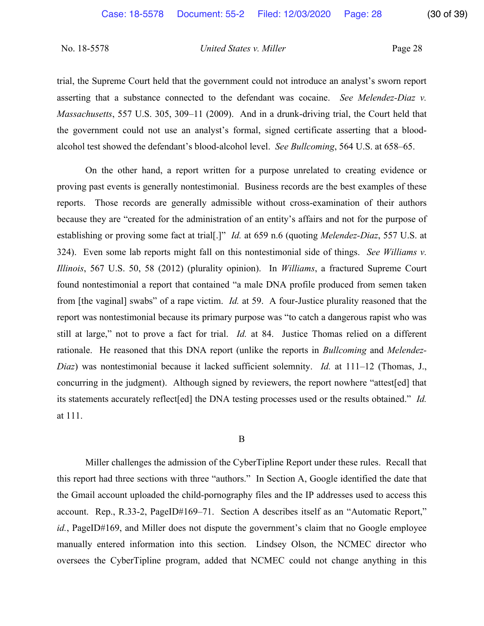trial, the Supreme Court held that the government could not introduce an analyst's sworn report asserting that a substance connected to the defendant was cocaine. *See Melendez-Diaz v. Massachusetts*, 557 U.S. 305, 309–11 (2009). And in a drunk-driving trial, the Court held that the government could not use an analyst's formal, signed certificate asserting that a bloodalcohol test showed the defendant's blood-alcohol level. *See Bullcoming*, 564 U.S. at 658–65.

On the other hand, a report written for a purpose unrelated to creating evidence or proving past events is generally nontestimonial. Business records are the best examples of these reports. Those records are generally admissible without cross-examination of their authors because they are "created for the administration of an entity's affairs and not for the purpose of establishing or proving some fact at trial[.]" *Id.* at 659 n.6 (quoting *Melendez-Diaz*, 557 U.S. at 324). Even some lab reports might fall on this nontestimonial side of things. *See Williams v. Illinois*, 567 U.S. 50, 58 (2012) (plurality opinion). In *Williams*, a fractured Supreme Court found nontestimonial a report that contained "a male DNA profile produced from semen taken from [the vaginal] swabs" of a rape victim. *Id.* at 59. A four-Justice plurality reasoned that the report was nontestimonial because its primary purpose was "to catch a dangerous rapist who was still at large," not to prove a fact for trial. *Id.* at 84. Justice Thomas relied on a different rationale. He reasoned that this DNA report (unlike the reports in *Bullcoming* and *Melendez-Diaz*) was nontestimonial because it lacked sufficient solemnity. *Id.* at 111–12 (Thomas, J., concurring in the judgment). Although signed by reviewers, the report nowhere "attest[ed] that its statements accurately reflect[ed] the DNA testing processes used or the results obtained." *Id.* at 111.

#### B

Miller challenges the admission of the CyberTipline Report under these rules. Recall that this report had three sections with three "authors." In Section A, Google identified the date that the Gmail account uploaded the child-pornography files and the IP addresses used to access this account. Rep., R.33-2, PageID#169–71. Section A describes itself as an "Automatic Report," *id.*, PageID#169, and Miller does not dispute the government's claim that no Google employee manually entered information into this section. Lindsey Olson, the NCMEC director who oversees the CyberTipline program, added that NCMEC could not change anything in this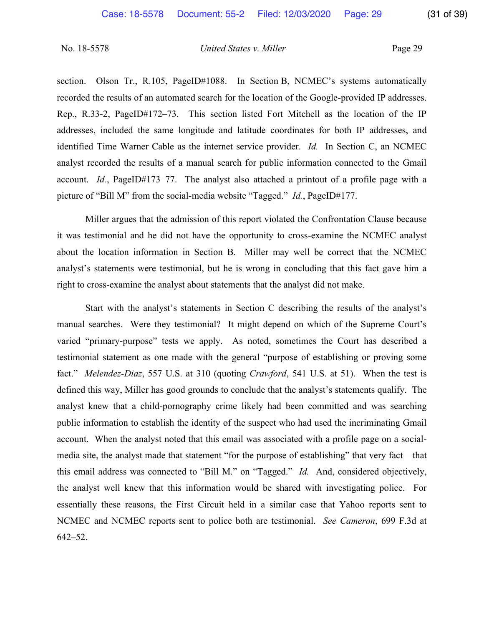section. Olson Tr., R.105, PageID#1088. In Section B, NCMEC's systems automatically recorded the results of an automated search for the location of the Google-provided IP addresses. Rep., R.33-2, PageID#172–73.This section listed Fort Mitchell as the location of the IP addresses, included the same longitude and latitude coordinates for both IP addresses, and identified Time Warner Cable as the internet service provider. *Id.*In Section C, an NCMEC analyst recorded the results of a manual search for public information connected to the Gmail account. *Id.*, PageID#173–77. The analyst also attached a printout of a profile page with a picture of "Bill M" from the social-media website "Tagged." *Id.*, PageID#177.

Miller argues that the admission of this report violated the Confrontation Clause because it was testimonial and he did not have the opportunity to cross-examine the NCMEC analyst about the location information in Section B. Miller may well be correct that the NCMEC analyst's statements were testimonial, but he is wrong in concluding that this fact gave him a right to cross-examine the analyst about statements that the analyst did not make.

Start with the analyst's statements in Section C describing the results of the analyst's manual searches. Were they testimonial? It might depend on which of the Supreme Court's varied "primary-purpose" tests we apply. As noted, sometimes the Court has described a testimonial statement as one made with the general "purpose of establishing or proving some fact." *Melendez-Diaz*, 557 U.S. at 310 (quoting *Crawford*, 541 U.S. at 51). When the test is defined this way, Miller has good grounds to conclude that the analyst's statements qualify. The analyst knew that a child-pornography crime likely had been committed and was searching public information to establish the identity of the suspect who had used the incriminating Gmail account. When the analyst noted that this email was associated with a profile page on a socialmedia site, the analyst made that statement "for the purpose of establishing" that very fact—that this email address was connected to "Bill M." on "Tagged." *Id.* And, considered objectively, the analyst well knew that this information would be shared with investigating police. For essentially these reasons, the First Circuit held in a similar case that Yahoo reports sent to NCMEC and NCMEC reports sent to police both are testimonial. *See Cameron*, 699 F.3d at 642–52.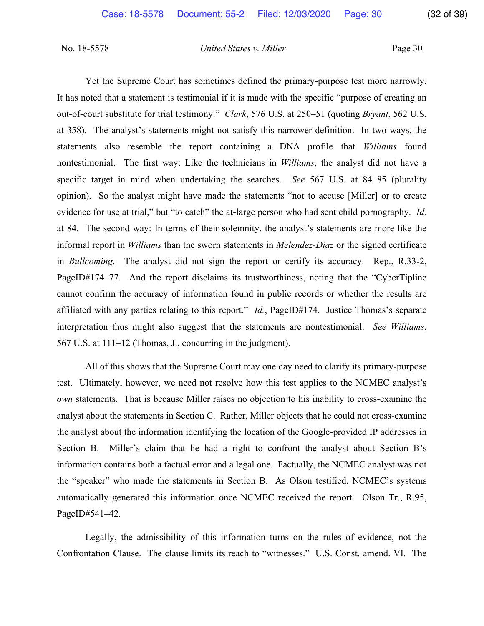Yet the Supreme Court has sometimes defined the primary-purpose test more narrowly. It has noted that a statement is testimonial if it is made with the specific "purpose of creating an out-of-court substitute for trial testimony." *Clark*, 576 U.S. at 250–51 (quoting *Bryant*, 562 U.S. at 358). The analyst's statements might not satisfy this narrower definition. In two ways, the statements also resemble the report containing a DNA profile that *Williams* found nontestimonial. The first way: Like the technicians in *Williams*, the analyst did not have a specific target in mind when undertaking the searches. *See* 567 U.S. at 84–85 (plurality opinion). So the analyst might have made the statements "not to accuse [Miller] or to create evidence for use at trial," but "to catch" the at-large person who had sent child pornography. *Id.* at 84. The second way: In terms of their solemnity, the analyst's statements are more like the informal report in *Williams* than the sworn statements in *Melendez-Diaz* or the signed certificate in *Bullcoming*. The analyst did not sign the report or certify its accuracy. Rep., R.33-2, PageID#174–77. And the report disclaims its trustworthiness, noting that the "CyberTipline cannot confirm the accuracy of information found in public records or whether the results are affiliated with any parties relating to this report." *Id.*, PageID#174. Justice Thomas's separate interpretation thus might also suggest that the statements are nontestimonial. *See Williams*, 567 U.S. at 111–12 (Thomas, J., concurring in the judgment).

All of this shows that the Supreme Court may one day need to clarify its primary-purpose test. Ultimately, however, we need not resolve how this test applies to the NCMEC analyst's *own* statements. That is because Miller raises no objection to his inability to cross-examine the analyst about the statements in Section C. Rather, Miller objects that he could not cross-examine the analyst about the information identifying the location of the Google-provided IP addresses in Section B. Miller's claim that he had a right to confront the analyst about Section B's information contains both a factual error and a legal one. Factually, the NCMEC analyst was not the "speaker" who made the statements in Section B. As Olson testified, NCMEC's systems automatically generated this information once NCMEC received the report. Olson Tr., R.95, PageID#541–42.

Legally, the admissibility of this information turns on the rules of evidence, not the Confrontation Clause. The clause limits its reach to "witnesses." U.S. Const. amend. VI. The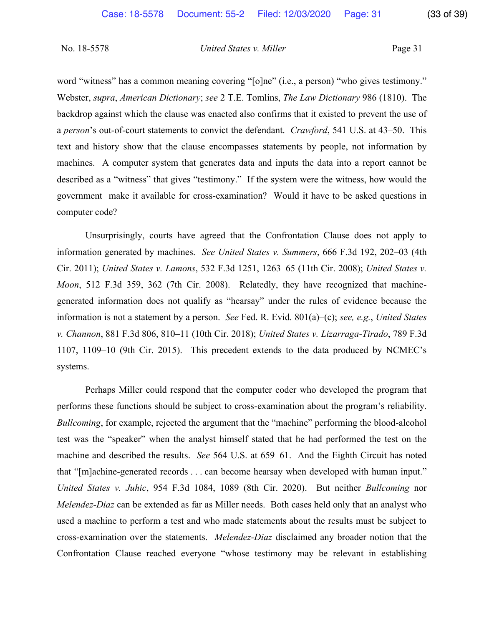word "witness" has a common meaning covering "[o]ne" (i.e., a person) "who gives testimony." Webster, *supra*, *American Dictionary*; *see* 2 T.E. Tomlins, *The Law Dictionary* 986 (1810). The backdrop against which the clause was enacted also confirms that it existed to prevent the use of a *person*'s out-of-court statements to convict the defendant. *Crawford*, 541 U.S. at 43–50. This text and history show that the clause encompasses statements by people, not information by machines. A computer system that generates data and inputs the data into a report cannot be described as a "witness" that gives "testimony." If the system were the witness, how would the government make it available for cross-examination? Would it have to be asked questions in computer code?

Unsurprisingly, courts have agreed that the Confrontation Clause does not apply to information generated by machines. *See United States v. Summers*, 666 F.3d 192, 202–03 (4th Cir. 2011); *United States v. Lamons*, 532 F.3d 1251, 1263–65 (11th Cir. 2008); *United States v. Moon*, 512 F.3d 359, 362 (7th Cir. 2008). Relatedly, they have recognized that machinegenerated information does not qualify as "hearsay" under the rules of evidence because the information is not a statement by a person. *See* Fed. R. Evid. 801(a)–(c); *see, e.g.*, *United States v. Channon*, 881 F.3d 806, 810–11 (10th Cir. 2018); *United States v. Lizarraga-Tirado*, 789 F.3d 1107, 1109–10 (9th Cir. 2015). This precedent extends to the data produced by NCMEC's systems.

Perhaps Miller could respond that the computer coder who developed the program that performs these functions should be subject to cross-examination about the program's reliability. *Bullcoming*, for example, rejected the argument that the "machine" performing the blood-alcohol test was the "speaker" when the analyst himself stated that he had performed the test on the machine and described the results. *See* 564 U.S. at 659–61. And the Eighth Circuit has noted that "[m]achine-generated records . . . can become hearsay when developed with human input." *United States v. Juhic*, 954 F.3d 1084, 1089 (8th Cir. 2020). But neither *Bullcoming* nor *Melendez-Diaz* can be extended as far as Miller needs. Both cases held only that an analyst who used a machine to perform a test and who made statements about the results must be subject to cross-examination over the statements. *Melendez-Diaz* disclaimed any broader notion that the Confrontation Clause reached everyone "whose testimony may be relevant in establishing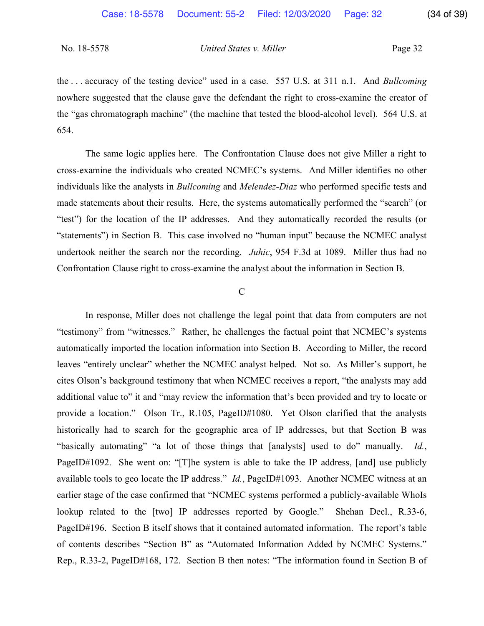the . . . accuracy of the testing device" used in a case. 557 U.S. at 311 n.1. And *Bullcoming* nowhere suggested that the clause gave the defendant the right to cross-examine the creator of the "gas chromatograph machine" (the machine that tested the blood-alcohol level). 564 U.S. at 654.

The same logic applies here. The Confrontation Clause does not give Miller a right to cross-examine the individuals who created NCMEC's systems. And Miller identifies no other individuals like the analysts in *Bullcoming* and *Melendez-Diaz* who performed specific tests and made statements about their results. Here, the systems automatically performed the "search" (or "test") for the location of the IP addresses. And they automatically recorded the results (or "statements") in Section B. This case involved no "human input" because the NCMEC analyst undertook neither the search nor the recording. *Juhic*, 954 F.3d at 1089. Miller thus had no Confrontation Clause right to cross-examine the analyst about the information in Section B.

#### $\overline{C}$

In response, Miller does not challenge the legal point that data from computers are not "testimony" from "witnesses." Rather, he challenges the factual point that NCMEC's systems automatically imported the location information into Section B. According to Miller, the record leaves "entirely unclear" whether the NCMEC analyst helped. Not so. As Miller's support, he cites Olson's background testimony that when NCMEC receives a report, "the analysts may add additional value to" it and "may review the information that's been provided and try to locate or provide a location." Olson Tr., R.105, PageID#1080. Yet Olson clarified that the analysts historically had to search for the geographic area of IP addresses, but that Section B was "basically automating" "a lot of those things that [analysts] used to do" manually. *Id.*, PageID#1092. She went on: "[T]he system is able to take the IP address, [and] use publicly available tools to geo locate the IP address." *Id.*, PageID#1093. Another NCMEC witness at an earlier stage of the case confirmed that "NCMEC systems performed a publicly-available WhoIs lookup related to the [two] IP addresses reported by Google." Shehan Decl., R.33-6, PageID#196. Section B itself shows that it contained automated information. The report's table of contents describes "Section B" as "Automated Information Added by NCMEC Systems." Rep., R.33-2, PageID#168, 172. Section B then notes: "The information found in Section B of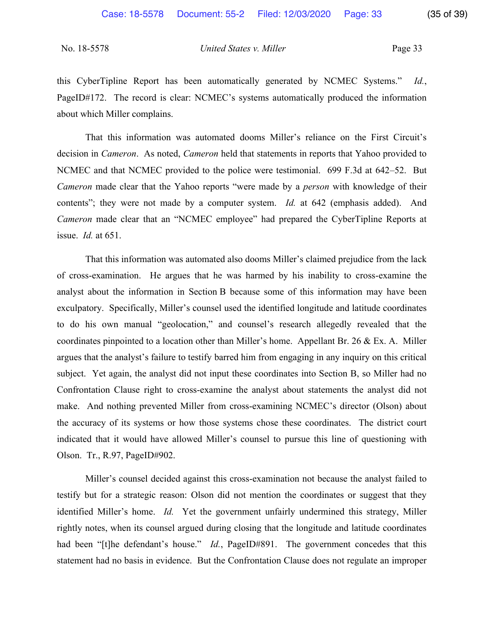this CyberTipline Report has been automatically generated by NCMEC Systems." *Id.*, PageID#172. The record is clear: NCMEC's systems automatically produced the information about which Miller complains.

That this information was automated dooms Miller's reliance on the First Circuit's decision in *Cameron*. As noted, *Cameron* held that statements in reports that Yahoo provided to NCMEC and that NCMEC provided to the police were testimonial. 699 F.3d at 642–52. But *Cameron* made clear that the Yahoo reports "were made by a *person* with knowledge of their contents"; they were not made by a computer system. *Id.* at 642 (emphasis added). And *Cameron* made clear that an "NCMEC employee" had prepared the CyberTipline Reports at issue. *Id.* at 651.

That this information was automated also dooms Miller's claimed prejudice from the lack of cross-examination. He argues that he was harmed by his inability to cross-examine the analyst about the information in Section B because some of this information may have been exculpatory. Specifically, Miller's counsel used the identified longitude and latitude coordinates to do his own manual "geolocation," and counsel's research allegedly revealed that the coordinates pinpointed to a location other than Miller's home. Appellant Br. 26 & Ex. A. Miller argues that the analyst's failure to testify barred him from engaging in any inquiry on this critical subject. Yet again, the analyst did not input these coordinates into Section B, so Miller had no Confrontation Clause right to cross-examine the analyst about statements the analyst did not make. And nothing prevented Miller from cross-examining NCMEC's director (Olson) about the accuracy of its systems or how those systems chose these coordinates. The district court indicated that it would have allowed Miller's counsel to pursue this line of questioning with Olson. Tr., R.97, PageID#902.

Miller's counsel decided against this cross-examination not because the analyst failed to testify but for a strategic reason: Olson did not mention the coordinates or suggest that they identified Miller's home. *Id.* Yet the government unfairly undermined this strategy, Miller rightly notes, when its counsel argued during closing that the longitude and latitude coordinates had been "[t]he defendant's house." *Id.*, PageID#891. The government concedes that this statement had no basis in evidence. But the Confrontation Clause does not regulate an improper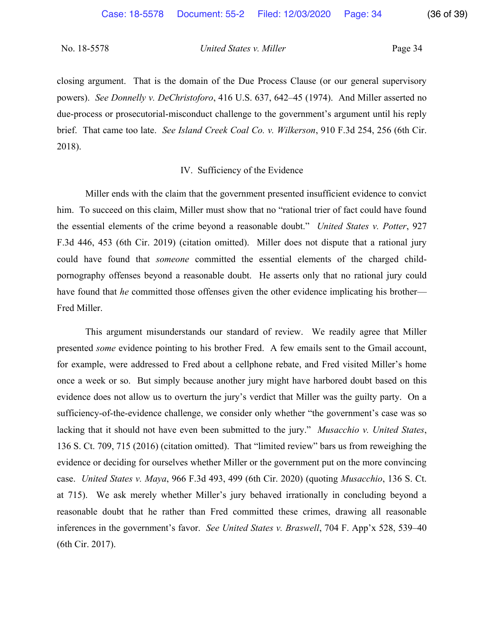closing argument. That is the domain of the Due Process Clause (or our general supervisory powers). *See Donnelly v. DeChristoforo*, 416 U.S. 637, 642–45 (1974). And Miller asserted no due-process or prosecutorial-misconduct challenge to the government's argument until his reply brief. That came too late. *See Island Creek Coal Co. v. Wilkerson*, 910 F.3d 254, 256 (6th Cir. 2018).

#### IV. Sufficiency of the Evidence

Miller ends with the claim that the government presented insufficient evidence to convict him. To succeed on this claim, Miller must show that no "rational trier of fact could have found the essential elements of the crime beyond a reasonable doubt." *United States v. Potter*, 927 F.3d 446, 453 (6th Cir. 2019) (citation omitted). Miller does not dispute that a rational jury could have found that *someone* committed the essential elements of the charged childpornography offenses beyond a reasonable doubt. He asserts only that no rational jury could have found that *he* committed those offenses given the other evidence implicating his brother— Fred Miller.

This argument misunderstands our standard of review. We readily agree that Miller presented *some* evidence pointing to his brother Fred. A few emails sent to the Gmail account, for example, were addressed to Fred about a cellphone rebate, and Fred visited Miller's home once a week or so. But simply because another jury might have harbored doubt based on this evidence does not allow us to overturn the jury's verdict that Miller was the guilty party. On a sufficiency-of-the-evidence challenge, we consider only whether "the government's case was so lacking that it should not have even been submitted to the jury." *Musacchio v. United States*, 136 S. Ct. 709, 715 (2016) (citation omitted). That "limited review" bars us from reweighing the evidence or deciding for ourselves whether Miller or the government put on the more convincing case. *United States v. Maya*, 966 F.3d 493, 499 (6th Cir. 2020) (quoting *Musacchio*, 136 S. Ct. at 715). We ask merely whether Miller's jury behaved irrationally in concluding beyond a reasonable doubt that he rather than Fred committed these crimes, drawing all reasonable inferences in the government's favor. *See United States v. Braswell*, 704 F. App'x 528, 539–40 (6th Cir. 2017).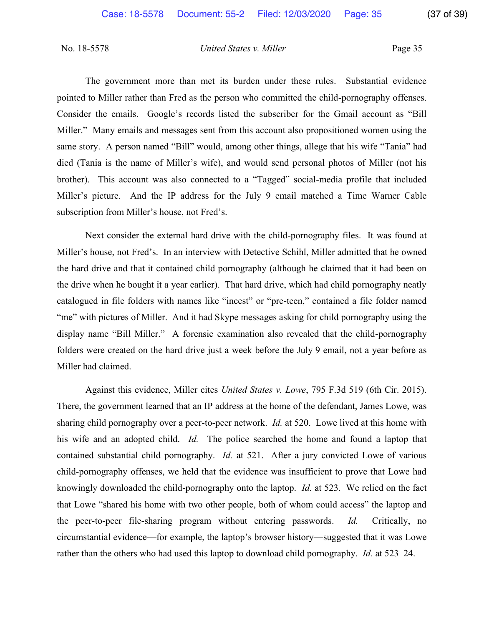The government more than met its burden under these rules. Substantial evidence pointed to Miller rather than Fred as the person who committed the child-pornography offenses. Consider the emails. Google's records listed the subscriber for the Gmail account as "Bill Miller." Many emails and messages sent from this account also propositioned women using the same story. A person named "Bill" would, among other things, allege that his wife "Tania" had died (Tania is the name of Miller's wife), and would send personal photos of Miller (not his brother). This account was also connected to a "Tagged" social-media profile that included Miller's picture. And the IP address for the July 9 email matched a Time Warner Cable subscription from Miller's house, not Fred's.

Next consider the external hard drive with the child-pornography files. It was found at Miller's house, not Fred's. In an interview with Detective Schihl, Miller admitted that he owned the hard drive and that it contained child pornography (although he claimed that it had been on the drive when he bought it a year earlier). That hard drive, which had child pornography neatly catalogued in file folders with names like "incest" or "pre-teen," contained a file folder named "me" with pictures of Miller. And it had Skype messages asking for child pornography using the display name "Bill Miller." A forensic examination also revealed that the child-pornography folders were created on the hard drive just a week before the July 9 email, not a year before as Miller had claimed.

Against this evidence, Miller cites *United States v. Lowe*, 795 F.3d 519 (6th Cir. 2015). There, the government learned that an IP address at the home of the defendant, James Lowe, was sharing child pornography over a peer-to-peer network. *Id.* at 520. Lowe lived at this home with his wife and an adopted child. *Id.* The police searched the home and found a laptop that contained substantial child pornography. *Id.* at 521. After a jury convicted Lowe of various child-pornography offenses, we held that the evidence was insufficient to prove that Lowe had knowingly downloaded the child-pornography onto the laptop. *Id.* at 523. We relied on the fact that Lowe "shared his home with two other people, both of whom could access" the laptop and the peer-to-peer file-sharing program without entering passwords. *Id.* Critically, no circumstantial evidence—for example, the laptop's browser history—suggested that it was Lowe rather than the others who had used this laptop to download child pornography. *Id.* at 523–24.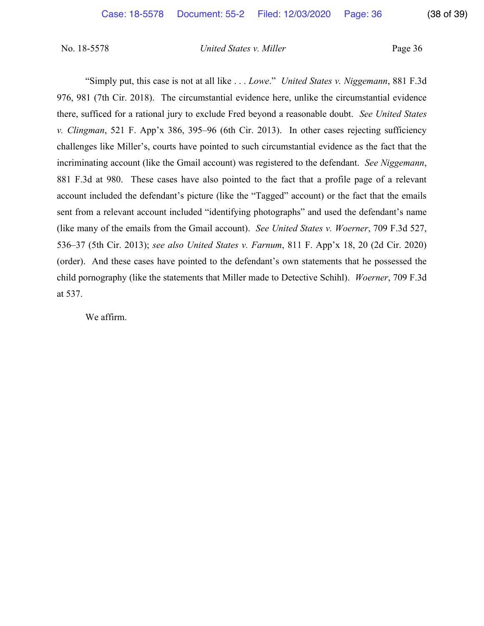"Simply put, this case is not at all like . . . *Lowe*." *United States v. Niggemann*, 881 F.3d 976, 981 (7th Cir. 2018). The circumstantial evidence here, unlike the circumstantial evidence there, sufficed for a rational jury to exclude Fred beyond a reasonable doubt. *See United States v. Clingman*, 521 F. App'x 386, 395–96 (6th Cir. 2013). In other cases rejecting sufficiency challenges like Miller's, courts have pointed to such circumstantial evidence as the fact that the incriminating account (like the Gmail account) was registered to the defendant. *See Niggemann*, 881 F.3d at 980. These cases have also pointed to the fact that a profile page of a relevant account included the defendant's picture (like the "Tagged" account) or the fact that the emails sent from a relevant account included "identifying photographs" and used the defendant's name (like many of the emails from the Gmail account). *See United States v. Woerner*, 709 F.3d 527, 536–37 (5th Cir. 2013); *see also United States v. Farnum*, 811 F. App'x 18, 20 (2d Cir. 2020) (order). And these cases have pointed to the defendant's own statements that he possessed the child pornography (like the statements that Miller made to Detective Schihl). *Woerner*, 709 F.3d at 537.

We affirm.